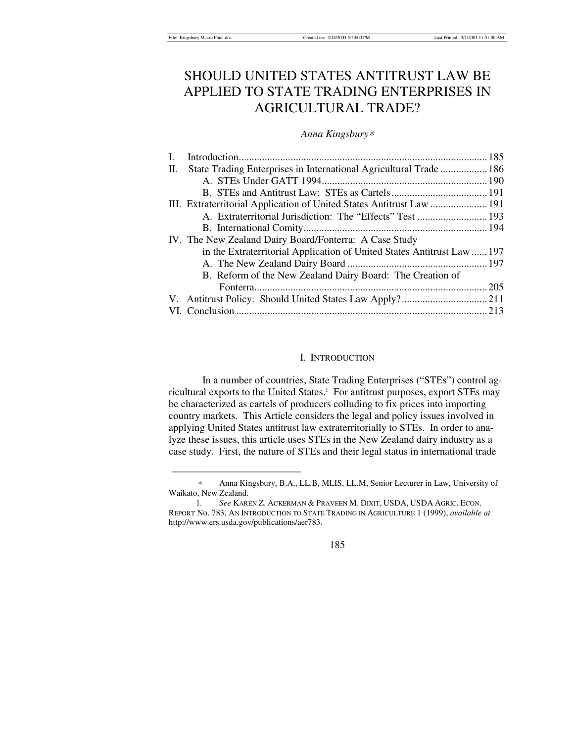# SHOULD UNITED STATES ANTITRUST LAW BE APPLIED TO STATE TRADING ENTERPRISES IN AGRICULTURAL TRADE?

# *Anna Kingsbury*<sup>∗</sup>

| State Trading Enterprises in International Agricultural Trade  186<br>П.<br>III. Extraterritorial Application of United States Antitrust Law  191<br>A. Extraterritorial Jurisdiction: The "Effects" Test  193<br>IV. The New Zealand Dairy Board/Fonterra: A Case Study<br>in the Extraterritorial Application of United States Antitrust Law  197<br>B. Reform of the New Zealand Dairy Board: The Creation of |  |  |
|------------------------------------------------------------------------------------------------------------------------------------------------------------------------------------------------------------------------------------------------------------------------------------------------------------------------------------------------------------------------------------------------------------------|--|--|
|                                                                                                                                                                                                                                                                                                                                                                                                                  |  |  |
|                                                                                                                                                                                                                                                                                                                                                                                                                  |  |  |
|                                                                                                                                                                                                                                                                                                                                                                                                                  |  |  |
|                                                                                                                                                                                                                                                                                                                                                                                                                  |  |  |
|                                                                                                                                                                                                                                                                                                                                                                                                                  |  |  |
|                                                                                                                                                                                                                                                                                                                                                                                                                  |  |  |
|                                                                                                                                                                                                                                                                                                                                                                                                                  |  |  |
|                                                                                                                                                                                                                                                                                                                                                                                                                  |  |  |
|                                                                                                                                                                                                                                                                                                                                                                                                                  |  |  |
|                                                                                                                                                                                                                                                                                                                                                                                                                  |  |  |
|                                                                                                                                                                                                                                                                                                                                                                                                                  |  |  |
|                                                                                                                                                                                                                                                                                                                                                                                                                  |  |  |
|                                                                                                                                                                                                                                                                                                                                                                                                                  |  |  |

## I. INTRODUCTION

In a number of countries, State Trading Enterprises ("STEs") control agricultural exports to the United States.<sup>1</sup> For antitrust purposes, export STEs may be characterized as cartels of producers colluding to fix prices into importing country markets. This Article considers the legal and policy issues involved in applying United States antitrust law extraterritorially to STEs. In order to analyze these issues, this article uses STEs in the New Zealand dairy industry as a case study. First, the nature of STEs and their legal status in international trade

\_\_\_\_\_\_\_\_\_\_\_\_\_\_\_\_\_\_\_\_\_\_\_\_\_

185

<sup>∗</sup> Anna Kingsbury, B.A., LL.B, MLIS, LL.M, Senior Lecturer in Law, University of Waikato, New Zealand.

 <sup>1</sup>*. See* KAREN Z. ACKERMAN & PRAVEEN M. DIXIT, USDA, USDA AGRIC. ECON. REPORT No. 783, AN INTRODUCTION TO STATE TRADING IN AGRICULTURE 1 (1999), *available at* http://www.ers.usda.gov/publications/aer783.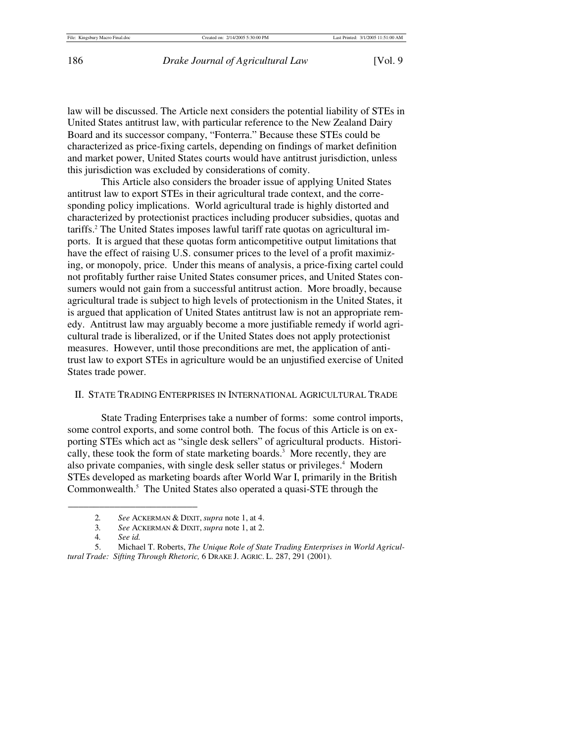law will be discussed. The Article next considers the potential liability of STEs in United States antitrust law, with particular reference to the New Zealand Dairy Board and its successor company, "Fonterra." Because these STEs could be characterized as price-fixing cartels, depending on findings of market definition and market power, United States courts would have antitrust jurisdiction, unless this jurisdiction was excluded by considerations of comity.

This Article also considers the broader issue of applying United States antitrust law to export STEs in their agricultural trade context, and the corresponding policy implications. World agricultural trade is highly distorted and characterized by protectionist practices including producer subsidies, quotas and tariffs.2 The United States imposes lawful tariff rate quotas on agricultural imports. It is argued that these quotas form anticompetitive output limitations that have the effect of raising U.S. consumer prices to the level of a profit maximizing, or monopoly, price. Under this means of analysis, a price-fixing cartel could not profitably further raise United States consumer prices, and United States consumers would not gain from a successful antitrust action. More broadly, because agricultural trade is subject to high levels of protectionism in the United States, it is argued that application of United States antitrust law is not an appropriate remedy. Antitrust law may arguably become a more justifiable remedy if world agricultural trade is liberalized, or if the United States does not apply protectionist measures. However, until those preconditions are met, the application of antitrust law to export STEs in agriculture would be an unjustified exercise of United States trade power.

## II. STATE TRADING ENTERPRISES IN INTERNATIONAL AGRICULTURAL TRADE

State Trading Enterprises take a number of forms: some control imports, some control exports, and some control both. The focus of this Article is on exporting STEs which act as "single desk sellers" of agricultural products. Historically, these took the form of state marketing boards.3 More recently, they are also private companies, with single desk seller status or privileges.<sup>4</sup> Modern STEs developed as marketing boards after World War I, primarily in the British Commonwealth.<sup>5</sup> The United States also operated a quasi-STE through the

<sup>2</sup>*. See* ACKERMAN & DIXIT, *supra* note 1, at 4.

<sup>3</sup>*. See* ACKERMAN & DIXIT, *supra* note 1, at 2.

<sup>4</sup>*. See id.*

 <sup>5.</sup> Michael T. Roberts, *The Unique Role of State Trading Enterprises in World Agricultural Trade: Sifting Through Rhetoric,* 6 DRAKE J. AGRIC. L. 287, 291 (2001).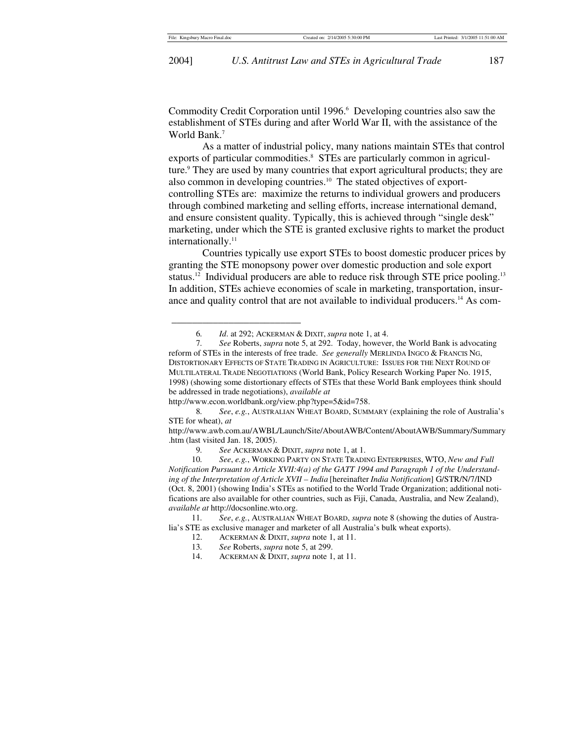Commodity Credit Corporation until 1996.<sup>6</sup> Developing countries also saw the establishment of STEs during and after World War II, with the assistance of the World Bank.<sup>7</sup>

As a matter of industrial policy, many nations maintain STEs that control exports of particular commodities.<sup>8</sup> STEs are particularly common in agriculture.<sup>9</sup> They are used by many countries that export agricultural products; they are also common in developing countries.10 The stated objectives of exportcontrolling STEs are: maximize the returns to individual growers and producers through combined marketing and selling efforts, increase international demand, and ensure consistent quality. Typically, this is achieved through "single desk" marketing, under which the STE is granted exclusive rights to market the product internationally.<sup>11</sup>

Countries typically use export STEs to boost domestic producer prices by granting the STE monopsony power over domestic production and sole export status.<sup>12</sup> Individual producers are able to reduce risk through STE price pooling.<sup>13</sup> In addition, STEs achieve economies of scale in marketing, transportation, insurance and quality control that are not available to individual producers.<sup>14</sup> As com-

\_\_\_\_\_\_\_\_\_\_\_\_\_\_\_\_\_\_\_\_\_\_\_\_\_

 11*. See*, *e.g.*, AUSTRALIAN WHEAT BOARD, *supra* note 8 (showing the duties of Australia's STE as exclusive manager and marketer of all Australia's bulk wheat exports).

 <sup>6</sup>*. Id*. at 292; ACKERMAN & DIXIT, *supra* note 1, at 4.

 <sup>7</sup>*. See* Roberts, *supra* note 5, at 292. Today, however, the World Bank is advocating reform of STEs in the interests of free trade. *See generally* MERLINDA INGCO & FRANCIS NG, DISTORTIONARY EFFECTS OF STATE TRADING IN AGRICULTURE: ISSUES FOR THE NEXT ROUND OF MULTILATERAL TRADE NEGOTIATIONS (World Bank, Policy Research Working Paper No. 1915, 1998) (showing some distortionary effects of STEs that these World Bank employees think should be addressed in trade negotiations), *available at*

http://www.econ.worldbank.org/view.php?type=5&id=758.<br>8. See, e.g., AUSTRALIAN WHEAT BOARD, SUMN

 <sup>8</sup>*. See*, *e.g.*, AUSTRALIAN WHEAT BOARD, SUMMARY (explaining the role of Australia's STE for wheat), *at*

http://www.awb.com.au/AWBL/Launch/Site/AboutAWB/Content/AboutAWB/Summary/Summary .htm (last visited Jan. 18, 2005).

<sup>9</sup>*. See* ACKERMAN & DIXIT, *supra* note 1, at 1.

 <sup>10</sup>*. See*, *e.g.*, WORKING PARTY ON STATE TRADING ENTERPRISES, WTO, *New and Full Notification Pursuant to Article XVII:4(a) of the GATT 1994 and Paragraph 1 of the Understanding of the Interpretation of Article XVII – India* [hereinafter *India Notification*] G/STR/N/7/IND (Oct. 8, 2001) (showing India's STEs as notified to the World Trade Organization; additional notifications are also available for other countries, such as Fiji, Canada, Australia, and New Zealand), *available at* http://docsonline.wto.org.

 <sup>12.</sup> ACKERMAN & DIXIT, *supra* note 1, at 11.

 <sup>13</sup>*. See* Roberts, *supra* note 5, at 299.

 <sup>14.</sup> ACKERMAN & DIXIT, *supra* note 1, at 11.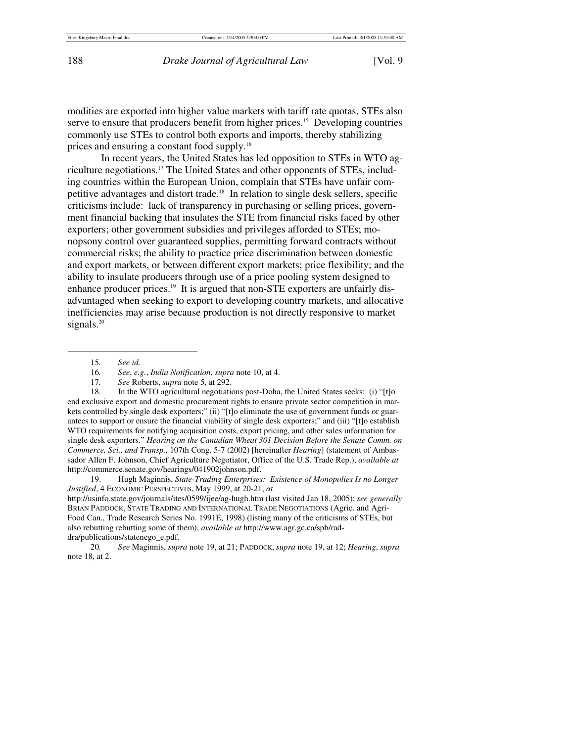modities are exported into higher value markets with tariff rate quotas, STEs also serve to ensure that producers benefit from higher prices.<sup>15</sup> Developing countries commonly use STEs to control both exports and imports, thereby stabilizing prices and ensuring a constant food supply.16

In recent years, the United States has led opposition to STEs in WTO agriculture negotiations.17 The United States and other opponents of STEs, including countries within the European Union, complain that STEs have unfair competitive advantages and distort trade.18 In relation to single desk sellers, specific criticisms include: lack of transparency in purchasing or selling prices, government financial backing that insulates the STE from financial risks faced by other exporters; other government subsidies and privileges afforded to STEs; monopsony control over guaranteed supplies, permitting forward contracts without commercial risks; the ability to practice price discrimination between domestic and export markets, or between different export markets; price flexibility; and the ability to insulate producers through use of a price pooling system designed to enhance producer prices.<sup>19</sup> It is argued that non-STE exporters are unfairly disadvantaged when seeking to export to developing country markets, and allocative inefficiencies may arise because production is not directly responsive to market signals.<sup>20</sup>

15*. See id.*

\_\_\_\_\_\_\_\_\_\_\_\_\_\_\_\_\_\_\_\_\_\_\_\_\_

17*. See* Roberts, *supra* note 5, at 292.

 18. In the WTO agricultural negotiations post-Doha, the United States seeks: (i) "[t]o end exclusive export and domestic procurement rights to ensure private sector competition in markets controlled by single desk exporters;" (ii) "[t]o eliminate the use of government funds or guarantees to support or ensure the financial viability of single desk exporters;" and (iii) "[t]o establish WTO requirements for notifying acquisition costs, export pricing, and other sales information for single desk exporters." *Hearing on the Canadian Wheat 301 Decision Before the Senate Comm. on Commerce, Sci., and Transp.,* 107th Cong. 5-7 (2002) [hereinafter *Hearing*] (statement of Ambassador Allen F. Johnson, Chief Agriculture Negotiator, Office of the U.S. Trade Rep.), *available at* http://commerce.senate.gov/hearings/041902johnson.pdf.

 19. Hugh Maginnis, *State-Trading Enterprises: Existence of Monopolies Is no Longer Justified*, 4 ECONOMIC PERSPECTIVES, May 1999, at 20-21, *at* http://usinfo.state.gov/journals/ites/0599/ijee/ag-hugh.htm (last visited Jan 18, 2005); *see generally* BRIAN PADDOCK, STATE TRADING AND INTERNATIONAL TRADE NEGOTIATIONS (Agric. and Agri-

Food Can., Trade Research Series No. 1991E, 1998) (listing many of the criticisms of STEs, but also rebutting rebutting some of them), *available at* http://www.agr.gc.ca/spb/raddra/publications/statenego\_e.pdf.

 20*. See* Maginnis, *supra* note 19, at 21; PADDOCK, *supra* note 19, at 12; *Hearing*, *supra* note 18, at 2.

 <sup>16</sup>*. See*, *e.g.*, *India Notification*, *supra* note 10, at 4.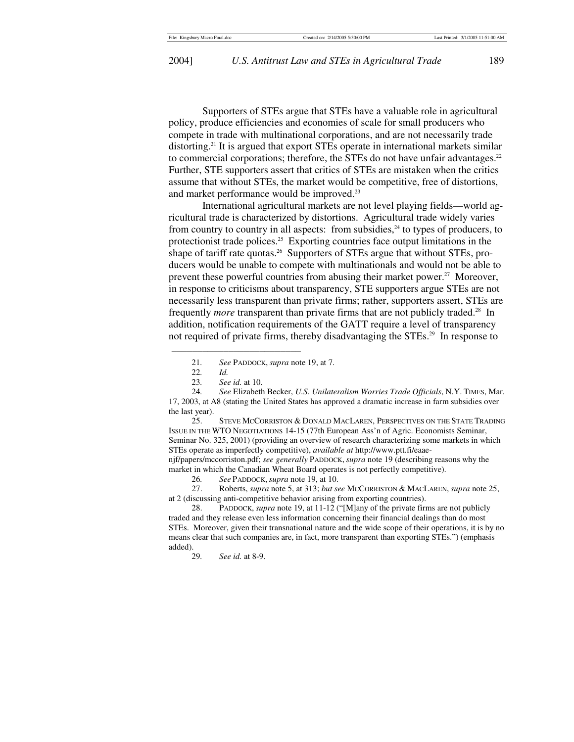Supporters of STEs argue that STEs have a valuable role in agricultural policy, produce efficiencies and economies of scale for small producers who compete in trade with multinational corporations, and are not necessarily trade distorting.<sup>21</sup> It is argued that export STEs operate in international markets similar to commercial corporations; therefore, the STEs do not have unfair advantages.<sup>22</sup> Further, STE supporters assert that critics of STEs are mistaken when the critics assume that without STEs, the market would be competitive, free of distortions, and market performance would be improved.<sup>23</sup>

International agricultural markets are not level playing fields—world agricultural trade is characterized by distortions. Agricultural trade widely varies from country to country in all aspects: from subsidies, $^{24}$  to types of producers, to protectionist trade polices.<sup>25</sup> Exporting countries face output limitations in the shape of tariff rate quotas.<sup>26</sup> Supporters of STEs argue that without STEs, producers would be unable to compete with multinationals and would not be able to prevent these powerful countries from abusing their market power.<sup>27</sup> Moreover, in response to criticisms about transparency, STE supporters argue STEs are not necessarily less transparent than private firms; rather, supporters assert, STEs are frequently *more* transparent than private firms that are not publicly traded.<sup>28</sup> In addition, notification requirements of the GATT require a level of transparency not required of private firms, thereby disadvantaging the STEs.<sup>29</sup> In response to

\_\_\_\_\_\_\_\_\_\_\_\_\_\_\_\_\_\_\_\_\_\_\_\_\_

 25. STEVE MCCORRISTON & DONALD MACLAREN, PERSPECTIVES ON THE STATE TRADING ISSUE IN THE WTO NEGOTIATIONS 14-15 (77th European Ass'n of Agric. Economists Seminar, Seminar No. 325, 2001) (providing an overview of research characterizing some markets in which STEs operate as imperfectly competitive), *available at* http://www.ptt.fi/eaaenjf/papers/mccorriston.pdf; *see generally* PADDOCK, *supra* note 19 (describing reasons why the market in which the Canadian Wheat Board operates is not perfectly competitive).

26*. See* PADDOCK, *supra* note 19, at 10.

 27. Roberts, *supra* note 5, at 313; *but see* MCCORRISTON & MACLAREN, *supra* note 25, at 2 (discussing anti-competitive behavior arising from exporting countries).

 28. PADDOCK, *supra* note 19, at 11-12 ("[M]any of the private firms are not publicly traded and they release even less information concerning their financial dealings than do most STEs. Moreover, given their transnational nature and the wide scope of their operations, it is by no means clear that such companies are, in fact, more transparent than exporting STEs.") (emphasis added).<br> $29.$ 

29*. See id.* at 8-9.

 <sup>21</sup>*. See* PADDOCK, *supra* note 19, at 7.

 <sup>22</sup>*. Id.* 

 <sup>23</sup>*. See id.* at 10.

 <sup>24</sup>*. See* Elizabeth Becker, *U.S. Unilateralism Worries Trade Officials*, N.Y. TIMES, Mar. 17, 2003, at A8 (stating the United States has approved a dramatic increase in farm subsidies over the last year).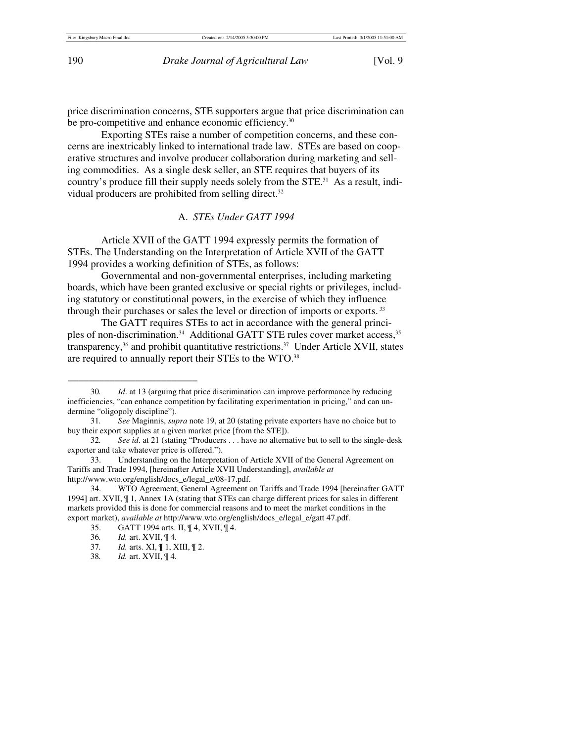price discrimination concerns, STE supporters argue that price discrimination can be pro-competitive and enhance economic efficiency.<sup>30</sup>

Exporting STEs raise a number of competition concerns, and these concerns are inextricably linked to international trade law. STEs are based on cooperative structures and involve producer collaboration during marketing and selling commodities. As a single desk seller, an STE requires that buyers of its country's produce fill their supply needs solely from the STE.31 As a result, individual producers are prohibited from selling direct.<sup>32</sup>

## A. *STEs Under GATT 1994*

Article XVII of the GATT 1994 expressly permits the formation of STEs. The Understanding on the Interpretation of Article XVII of the GATT 1994 provides a working definition of STEs, as follows:

Governmental and non-governmental enterprises, including marketing boards, which have been granted exclusive or special rights or privileges, including statutory or constitutional powers, in the exercise of which they influence through their purchases or sales the level or direction of imports or exports. <sup>33</sup>

The GATT requires STEs to act in accordance with the general principles of non-discrimination.<sup>34</sup> Additional GATT STE rules cover market access,<sup>35</sup> transparency,<sup>36</sup> and prohibit quantitative restrictions.<sup>37</sup> Under Article XVII, states are required to annually report their STEs to the WTO.<sup>38</sup>

 <sup>30</sup>*. Id*. at 13 (arguing that price discrimination can improve performance by reducing inefficiencies, "can enhance competition by facilitating experimentation in pricing," and can undermine "oligopoly discipline").

 <sup>31</sup>*. See* Maginnis, *supra* note 19, at 20 (stating private exporters have no choice but to buy their export supplies at a given market price [from the STE]).

<sup>32</sup>*. See id*. at 21 (stating "Producers . . . have no alternative but to sell to the single-desk exporter and take whatever price is offered.").

 <sup>33.</sup> Understanding on the Interpretation of Article XVII of the General Agreement on Tariffs and Trade 1994, [hereinafter Article XVII Understanding], *available at*  http://www.wto.org/english/docs\_e/legal\_e/08-17.pdf.

 <sup>34.</sup> WTO Agreement, General Agreement on Tariffs and Trade 1994 [hereinafter GATT 1994] art. XVII, ¶ 1, Annex 1A (stating that STEs can charge different prices for sales in different markets provided this is done for commercial reasons and to meet the market conditions in the export market), *available at* http://www.wto.org/english/docs\_e/legal\_e/gatt 47.pdf.

 <sup>35.</sup> GATT 1994 arts. II, ¶ 4, XVII, ¶ 4.

<sup>36.</sup> *Id.* art. XVII,  $\P$  4.<br>37. *Id.* arts. XI,  $\P$  1, X

*Id.* arts. XI,  $\P$  1, XIII,  $\P$  2.

<sup>38</sup>*. Id.* art. XVII, ¶ 4.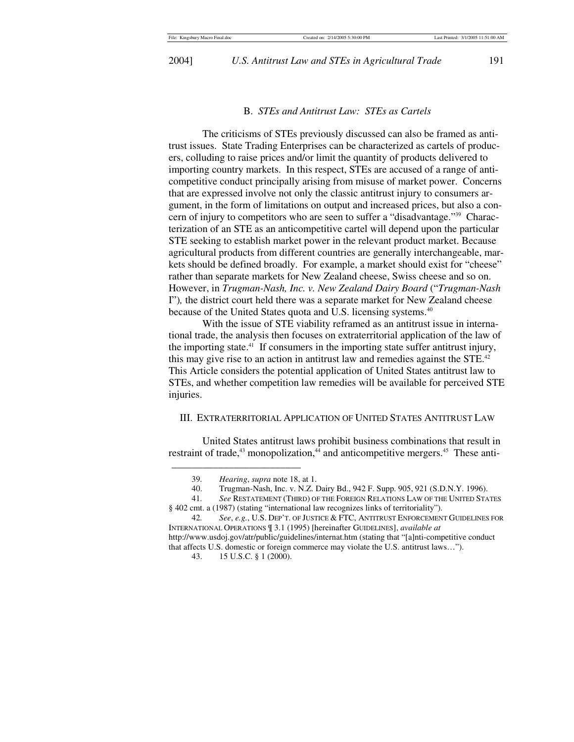2004] *U.S. Antitrust Law and STEs in Agricultural Trade* 191

### B. *STEs and Antitrust Law: STEs as Cartels*

The criticisms of STEs previously discussed can also be framed as antitrust issues. State Trading Enterprises can be characterized as cartels of producers, colluding to raise prices and/or limit the quantity of products delivered to importing country markets. In this respect, STEs are accused of a range of anticompetitive conduct principally arising from misuse of market power. Concerns that are expressed involve not only the classic antitrust injury to consumers argument, in the form of limitations on output and increased prices, but also a concern of injury to competitors who are seen to suffer a "disadvantage."39 Characterization of an STE as an anticompetitive cartel will depend upon the particular STE seeking to establish market power in the relevant product market. Because agricultural products from different countries are generally interchangeable, markets should be defined broadly. For example, a market should exist for "cheese" rather than separate markets for New Zealand cheese, Swiss cheese and so on. However, in *Trugman-Nash, Inc. v. New Zealand Dairy Board* ("*Trugman-Nash*  I")*,* the district court held there was a separate market for New Zealand cheese because of the United States quota and U.S. licensing systems.<sup>40</sup>

With the issue of STE viability reframed as an antitrust issue in international trade, the analysis then focuses on extraterritorial application of the law of the importing state.41 If consumers in the importing state suffer antitrust injury, this may give rise to an action in antitrust law and remedies against the STE.<sup>42</sup> This Article considers the potential application of United States antitrust law to STEs, and whether competition law remedies will be available for perceived STE injuries.

## III. EXTRATERRITORIAL APPLICATION OF UNITED STATES ANTITRUST LAW

United States antitrust laws prohibit business combinations that result in restraint of trade, $43$  monopolization, $44$  and anticompetitive mergers. $45$  These anti-

 <sup>39</sup>*. Hearing*, *supra* note 18, at 1.

 <sup>40.</sup> Trugman-Nash, Inc. v. N.Z. Dairy Bd., 942 F. Supp. 905, 921 (S.D.N.Y. 1996).

 <sup>41</sup>*. See* RESTATEMENT (THIRD) OF THE FOREIGN RELATIONS LAW OF THE UNITED STATES § 402 cmt. a (1987) (stating "international law recognizes links of territoriality").

 <sup>42</sup>*. See*, *e.g.*, U.S. DEP'T. OF JUSTICE & FTC, ANTITRUST ENFORCEMENT GUIDELINES FOR INTERNATIONAL OPERATIONS ¶ 3.1 (1995) [hereinafter GUIDELINES], *available at*  http://www.usdoj.gov/atr/public/guidelines/internat.htm (stating that "[a]nti-competitive conduct that affects U.S. domestic or foreign commerce may violate the U.S. antitrust laws…").

 <sup>43. 15</sup> U.S.C. § 1 (2000).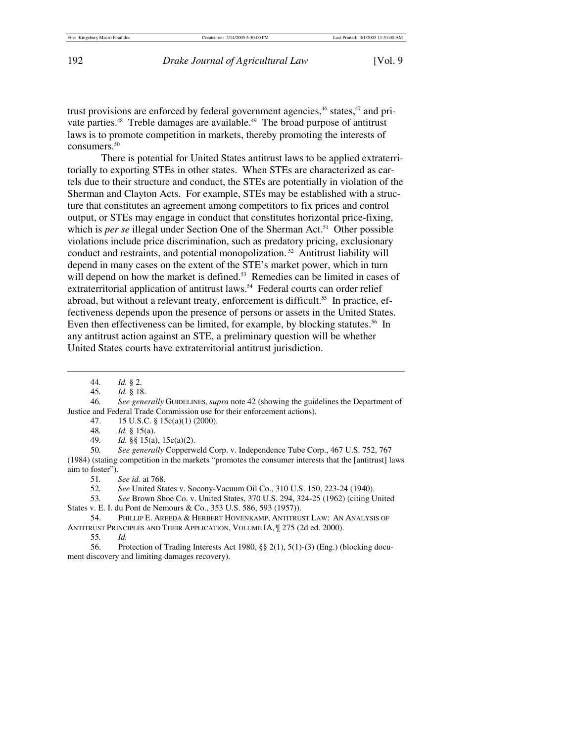trust provisions are enforced by federal government agencies,<sup>46</sup> states,<sup>47</sup> and private parties.<sup>48</sup> Treble damages are available.<sup>49</sup> The broad purpose of antitrust laws is to promote competition in markets, thereby promoting the interests of consumers.<sup>50</sup>

There is potential for United States antitrust laws to be applied extraterritorially to exporting STEs in other states. When STEs are characterized as cartels due to their structure and conduct, the STEs are potentially in violation of the Sherman and Clayton Acts. For example, STEs may be established with a structure that constitutes an agreement among competitors to fix prices and control output, or STEs may engage in conduct that constitutes horizontal price-fixing, which is *per se* illegal under Section One of the Sherman Act.<sup>51</sup> Other possible violations include price discrimination, such as predatory pricing, exclusionary conduct and restraints, and potential monopolization. 52 Antitrust liability will depend in many cases on the extent of the STE's market power, which in turn will depend on how the market is defined.<sup>53</sup> Remedies can be limited in cases of extraterritorial application of antitrust laws.<sup>54</sup> Federal courts can order relief abroad, but without a relevant treaty, enforcement is difficult.<sup>55</sup> In practice, effectiveness depends upon the presence of persons or assets in the United States. Even then effectiveness can be limited, for example, by blocking statutes.<sup>56</sup> In any antitrust action against an STE, a preliminary question will be whether United States courts have extraterritorial antitrust jurisdiction.

 $\overline{\phantom{a}}$ 

 46*. See generally* GUIDELINES, *supra* note 42 (showing the guidelines the Department of Justice and Federal Trade Commission use for their enforcement actions).

- 47. 15 U.S.C. § 15c(a)(1) (2000).
- 48*. Id.* § 15(a).
- 49*. Id.* §§ 15(a), 15c(a)(2).

 50*. See generally* Copperweld Corp. v. Independence Tube Corp., 467 U.S. 752, 767 (1984) (stating competition in the markets "promotes the consumer interests that the [antitrust] laws aim to foster").

51*. See id.* at 768.

52*. See* United States v. Socony-Vacuum Oil Co., 310 U.S. 150, 223-24 (1940).

 53*. See* Brown Shoe Co. v. United States, 370 U.S. 294, 324-25 (1962) (citing United States v. E. I. du Pont de Nemours & Co., 353 U.S. 586, 593 (1957)).

 54. PHILLIP E. AREEDA & HERBERT HOVENKAMP, ANTITRUST LAW: AN ANALYSIS OF ANTITRUST PRINCIPLES AND THEIR APPLICATION, VOLUME IA, ¶ 275 (2d ed. 2000).

55*. Id.*

 56. Protection of Trading Interests Act 1980, §§ 2(1), 5(1)-(3) (Eng.) (blocking document discovery and limiting damages recovery).

 <sup>44</sup>*. Id.* § 2.

 <sup>45</sup>*. Id.* § 18.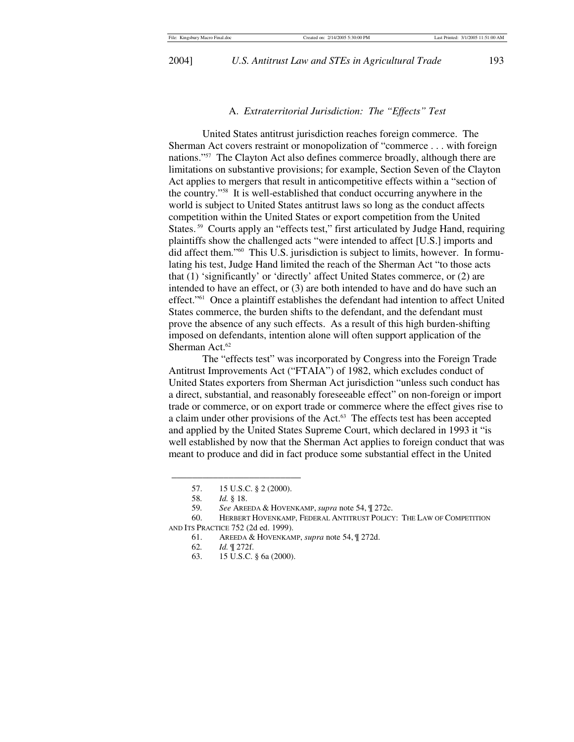2004] *U.S. Antitrust Law and STEs in Agricultural Trade* 193

### A. *Extraterritorial Jurisdiction: The "Effects" Test*

United States antitrust jurisdiction reaches foreign commerce. The Sherman Act covers restraint or monopolization of "commerce . . . with foreign nations."57 The Clayton Act also defines commerce broadly, although there are limitations on substantive provisions; for example, Section Seven of the Clayton Act applies to mergers that result in anticompetitive effects within a "section of the country."58 It is well-established that conduct occurring anywhere in the world is subject to United States antitrust laws so long as the conduct affects competition within the United States or export competition from the United States.<sup>59</sup> Courts apply an "effects test," first articulated by Judge Hand, requiring plaintiffs show the challenged acts "were intended to affect [U.S.] imports and did affect them."60 This U.S. jurisdiction is subject to limits, however. In formulating his test, Judge Hand limited the reach of the Sherman Act "to those acts that (1) 'significantly' or 'directly' affect United States commerce, or (2) are intended to have an effect, or (3) are both intended to have and do have such an effect."61 Once a plaintiff establishes the defendant had intention to affect United States commerce, the burden shifts to the defendant, and the defendant must prove the absence of any such effects. As a result of this high burden-shifting imposed on defendants, intention alone will often support application of the Sherman Act.<sup>62</sup>

The "effects test" was incorporated by Congress into the Foreign Trade Antitrust Improvements Act ("FTAIA") of 1982, which excludes conduct of United States exporters from Sherman Act jurisdiction "unless such conduct has a direct, substantial, and reasonably foreseeable effect" on non-foreign or import trade or commerce, or on export trade or commerce where the effect gives rise to a claim under other provisions of the Act.<sup>63</sup> The effects test has been accepted and applied by the United States Supreme Court, which declared in 1993 it "is well established by now that the Sherman Act applies to foreign conduct that was meant to produce and did in fact produce some substantial effect in the United

 <sup>57. 15</sup> U.S.C. § 2 (2000).

<sup>58</sup>*. Id.* § 18.

 <sup>59</sup>*. See* AREEDA & HOVENKAMP, *supra* note 54, ¶ 272c.

 <sup>60.</sup> HERBERT HOVENKAMP, FEDERAL ANTITRUST POLICY: THE LAW OF COMPETITION AND ITS PRACTICE 752 (2d ed. 1999).

 <sup>61.</sup> AREEDA & HOVENKAMP, *supra* note 54, ¶ 272d.

 <sup>62</sup>*. Id.* ¶ 272f.

 <sup>63. 15</sup> U.S.C. § 6a (2000).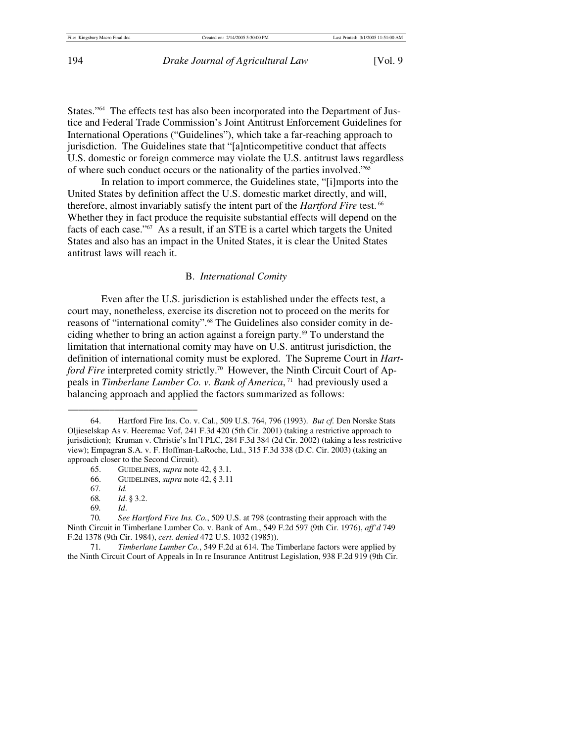States."64 The effects test has also been incorporated into the Department of Justice and Federal Trade Commission's Joint Antitrust Enforcement Guidelines for International Operations ("Guidelines"), which take a far-reaching approach to jurisdiction. The Guidelines state that "[a]nticompetitive conduct that affects U.S. domestic or foreign commerce may violate the U.S. antitrust laws regardless of where such conduct occurs or the nationality of the parties involved."65

In relation to import commerce, the Guidelines state, "[i]mports into the United States by definition affect the U.S. domestic market directly, and will, therefore, almost invariably satisfy the intent part of the *Hartford Fire* test. 66 Whether they in fact produce the requisite substantial effects will depend on the facts of each case."67 As a result, if an STE is a cartel which targets the United States and also has an impact in the United States, it is clear the United States antitrust laws will reach it.

# B. *International Comity*

Even after the U.S. jurisdiction is established under the effects test, a court may, nonetheless, exercise its discretion not to proceed on the merits for reasons of "international comity".<sup>68</sup> The Guidelines also consider comity in deciding whether to bring an action against a foreign party.<sup>69</sup> To understand the limitation that international comity may have on U.S. antitrust jurisdiction, the definition of international comity must be explored. The Supreme Court in *Hartford Fire* interpreted comity strictly.<sup>70</sup> However, the Ninth Circuit Court of Appeals in *Timberlane Lumber Co. v. Bank of America*, 71 had previously used a balancing approach and applied the factors summarized as follows:

\_\_\_\_\_\_\_\_\_\_\_\_\_\_\_\_\_\_\_\_\_\_\_\_\_

 71*. Timberlane Lumber Co.*, 549 F.2d at 614. The Timberlane factors were applied by the Ninth Circuit Court of Appeals in In re Insurance Antitrust Legislation, 938 F.2d 919 (9th Cir.

 <sup>64.</sup> Hartford Fire Ins. Co. v. Cal., 509 U.S. 764, 796 (1993). *But cf.* Den Norske Stats Oljieselskap As v. Heeremac Vof, 241 F.3d 420 (5th Cir. 2001) (taking a restrictive approach to jurisdiction); Kruman v. Christie's Int'l PLC, 284 F.3d 384 (2d Cir. 2002) (taking a less restrictive view); Empagran S.A. v. F. Hoffman-LaRoche, Ltd., 315 F.3d 338 (D.C. Cir. 2003) (taking an approach closer to the Second Circuit).

 <sup>65.</sup> GUIDELINES, *supra* note 42, § 3.1.

 <sup>66.</sup> GUIDELINES, *supra* note 42, § 3.11

 <sup>67</sup>*. Id.*

<sup>68</sup>*. Id*. § 3.2.

 <sup>69</sup>*. Id*.

 <sup>70</sup>*. See Hartford Fire Ins. Co.*, 509 U.S. at 798 (contrasting their approach with the Ninth Circuit in Timberlane Lumber Co. v. Bank of Am., 549 F.2d 597 (9th Cir. 1976), *aff'd* 749 F.2d 1378 (9th Cir. 1984), *cert. denied* 472 U.S. 1032 (1985)).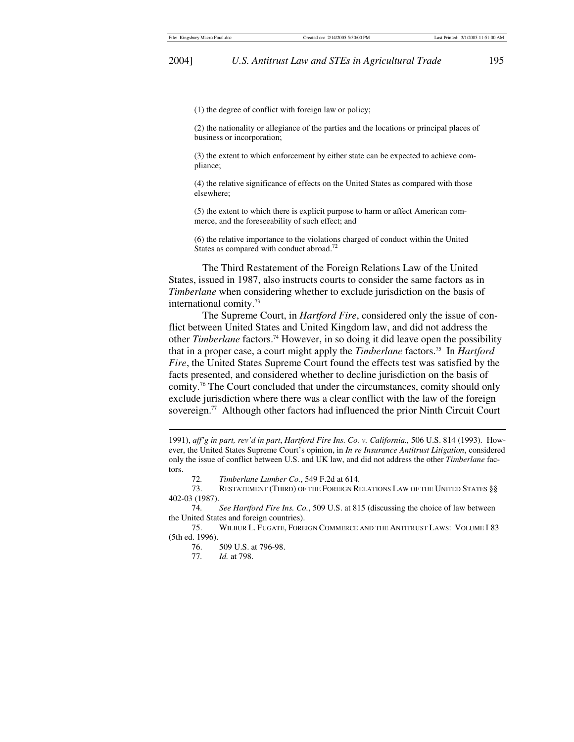(1) the degree of conflict with foreign law or policy;

(2) the nationality or allegiance of the parties and the locations or principal places of business or incorporation;

(3) the extent to which enforcement by either state can be expected to achieve compliance;

(4) the relative significance of effects on the United States as compared with those elsewhere;

(5) the extent to which there is explicit purpose to harm or affect American commerce, and the foreseeability of such effect; and

(6) the relative importance to the violations charged of conduct within the United States as compared with conduct abroad.<sup>72</sup>

The Third Restatement of the Foreign Relations Law of the United States, issued in 1987, also instructs courts to consider the same factors as in *Timberlane* when considering whether to exclude jurisdiction on the basis of international comity.73

The Supreme Court, in *Hartford Fire*, considered only the issue of conflict between United States and United Kingdom law, and did not address the other *Timberlane* factors.74 However, in so doing it did leave open the possibility that in a proper case, a court might apply the *Timberlane* factors.75 In *Hartford Fire*, the United States Supreme Court found the effects test was satisfied by the facts presented, and considered whether to decline jurisdiction on the basis of comity.76 The Court concluded that under the circumstances, comity should only exclude jurisdiction where there was a clear conflict with the law of the foreign sovereign.<sup>77</sup> Although other factors had influenced the prior Ninth Circuit Court

72*. Timberlane Lumber Co.*, 549 F.2d at 614.

 73. RESTATEMENT (THIRD) OF THE FOREIGN RELATIONS LAW OF THE UNITED STATES §§ 402-03 (1987).

 74*. See Hartford Fire Ins. Co.*, 509 U.S. at 815 (discussing the choice of law between the United States and foreign countries).

 75. WILBUR L. FUGATE, FOREIGN COMMERCE AND THE ANTITRUST LAWS: VOLUME I 83 (5th ed. 1996).

 $\overline{a}$ 

<sup>1991),</sup> *aff'g in part, rev'd in part*, *Hartford Fire Ins. Co. v. California.,* 506 U.S. 814 (1993). However, the United States Supreme Court's opinion, in *In re Insurance Antitrust Litigation*, considered only the issue of conflict between U.S. and UK law, and did not address the other *Timberlane* factors.

<sup>76. 509</sup> U.S. at 796-98.<br>77. *Id.* at 798.

*Id.* at 798.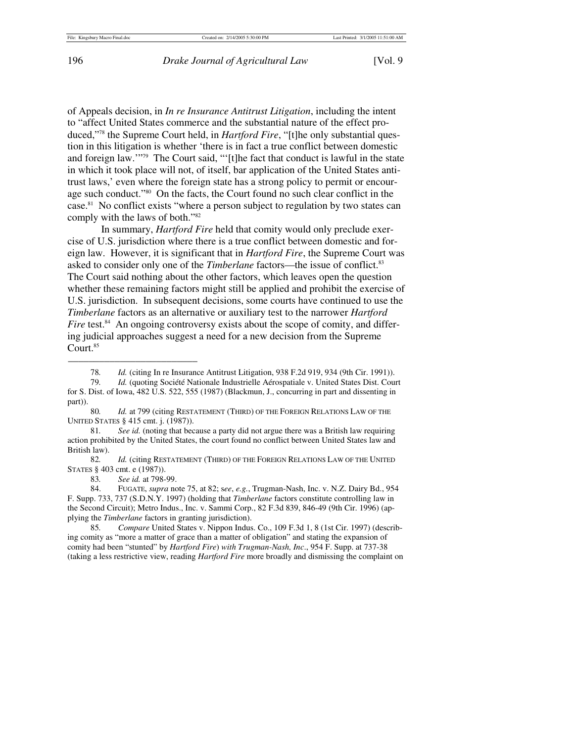of Appeals decision, in *In re Insurance Antitrust Litigation*, including the intent to "affect United States commerce and the substantial nature of the effect produced,"78 the Supreme Court held, in *Hartford Fire*, "[t]he only substantial question in this litigation is whether 'there is in fact a true conflict between domestic and foreign law.'"79 The Court said, "'[t]he fact that conduct is lawful in the state in which it took place will not, of itself, bar application of the United States antitrust laws,' even where the foreign state has a strong policy to permit or encourage such conduct."80 On the facts, the Court found no such clear conflict in the case.<sup>81</sup> No conflict exists "where a person subject to regulation by two states can comply with the laws of both."82

In summary, *Hartford Fire* held that comity would only preclude exercise of U.S. jurisdiction where there is a true conflict between domestic and foreign law. However, it is significant that in *Hartford Fire*, the Supreme Court was asked to consider only one of the *Timberlane* factors—the issue of conflict.<sup>83</sup> The Court said nothing about the other factors, which leaves open the question whether these remaining factors might still be applied and prohibit the exercise of U.S. jurisdiction. In subsequent decisions, some courts have continued to use the *Timberlane* factors as an alternative or auxiliary test to the narrower *Hartford Fire* test.<sup>84</sup> An ongoing controversy exists about the scope of comity, and differing judicial approaches suggest a need for a new decision from the Supreme Court.<sup>85</sup>

<sup>78</sup>*. Id.* (citing In re Insurance Antitrust Litigation, 938 F.2d 919, 934 (9th Cir. 1991)).

 <sup>79</sup>*. Id.* (quoting Société Nationale Industrielle Aérospatiale v. United States Dist. Court for S. Dist. of Iowa, 482 U.S. 522, 555 (1987) (Blackmun, J., concurring in part and dissenting in part)).

 <sup>80</sup>*. Id.* at 799 (citing RESTATEMENT (THIRD) OF THE FOREIGN RELATIONS LAW OF THE UNITED STATES § 415 cmt. j. (1987)).

 <sup>81</sup>*. See id.* (noting that because a party did not argue there was a British law requiring action prohibited by the United States, the court found no conflict between United States law and British law).

 <sup>82</sup>*. Id.* (citing RESTATEMENT (THIRD) OF THE FOREIGN RELATIONS LAW OF THE UNITED STATES § 403 cmt. e (1987)).

<sup>83</sup>*. See id.* at 798-99.

 <sup>84.</sup> FUGATE, *supra* note 75, at 82; s*ee*, *e.g.*, Trugman-Nash, Inc. v. N.Z. Dairy Bd., 954 F. Supp. 733, 737 (S.D.N.Y. 1997) (holding that *Timberlane* factors constitute controlling law in the Second Circuit); Metro Indus., Inc. v. Sammi Corp., 82 F.3d 839, 846-49 (9th Cir. 1996) (applying the *Timberlane* factors in granting jurisdiction).

 <sup>85</sup>*. Compare* United States v. Nippon Indus. Co., 109 F.3d 1, 8 (1st Cir. 1997) (describing comity as "more a matter of grace than a matter of obligation" and stating the expansion of comity had been "stunted" by *Hartford Fire*) *with Trugman-Nash, Inc*., 954 F. Supp. at 737-38 (taking a less restrictive view, reading *Hartford Fire* more broadly and dismissing the complaint on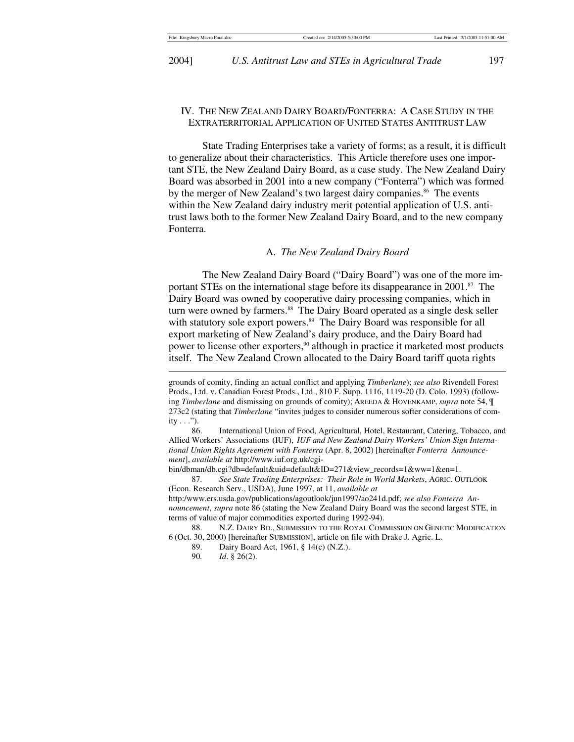## IV. THE NEW ZEALAND DAIRY BOARD/FONTERRA: A CASE STUDY IN THE EXTRATERRITORIAL APPLICATION OF UNITED STATES ANTITRUST LAW

State Trading Enterprises take a variety of forms; as a result, it is difficult to generalize about their characteristics. This Article therefore uses one important STE, the New Zealand Dairy Board, as a case study. The New Zealand Dairy Board was absorbed in 2001 into a new company ("Fonterra") which was formed by the merger of New Zealand's two largest dairy companies.<sup>86</sup> The events within the New Zealand dairy industry merit potential application of U.S. antitrust laws both to the former New Zealand Dairy Board, and to the new company Fonterra.

## A. *The New Zealand Dairy Board*

The New Zealand Dairy Board ("Dairy Board") was one of the more important STEs on the international stage before its disappearance in 2001.<sup>87</sup> The Dairy Board was owned by cooperative dairy processing companies, which in turn were owned by farmers.<sup>88</sup> The Dairy Board operated as a single desk seller with statutory sole export powers.<sup>89</sup> The Dairy Board was responsible for all export marketing of New Zealand's dairy produce, and the Dairy Board had power to license other exporters,<sup>90</sup> although in practice it marketed most products itself. The New Zealand Crown allocated to the Dairy Board tariff quota rights  $\overline{\phantom{a}}$ 

bin/dbman/db.cgi?db=default&uid=default&ID=271&view\_records=1&ww=1&en=1.

 87*. See State Trading Enterprises: Their Role in World Markets*, AGRIC. OUTLOOK (Econ. Research Serv., USDA), June 1997, at 11, *available at*  http:/www.ers.usda.gov/publications/agoutlook/jun1997/ao241d.pdf; *see also Fonterra Announcement*, *supra* note 86 (stating the New Zealand Dairy Board was the second largest STE, in terms of value of major commodities exported during 1992-94).

 88. N.Z. DAIRY BD., SUBMISSION TO THE ROYAL COMMISSION ON GENETIC MODIFICATION 6 (Oct. 30, 2000) [hereinafter SUBMISSION], article on file with Drake J. Agric. L.

89. Dairy Board Act, 1961, § 14(c) (N.Z.).<br>90. *Id.* § 26(2).

grounds of comity, finding an actual conflict and applying *Timberlane*); *see also* Rivendell Forest Prods., Ltd. v. Canadian Forest Prods., Ltd., 810 F. Supp. 1116, 1119-20 (D. Colo. 1993) (following *Timberlane* and dismissing on grounds of comity); AREEDA & HOVENKAMP, *supra* note 54, ¶ 273c2 (stating that *Timberlane* "invites judges to consider numerous softer considerations of comity  $\ldots$ ").

 <sup>86.</sup> International Union of Food, Agricultural, Hotel, Restaurant, Catering, Tobacco, and Allied Workers' Associations (IUF), *IUF and New Zealand Dairy Workers' Union Sign International Union Rights Agreement with Fonterra* (Apr. 8, 2002) [hereinafter *Fonterra Announcement*], *available at* http://www.iuf.org.uk/cgi-

*Id.* § 26(2).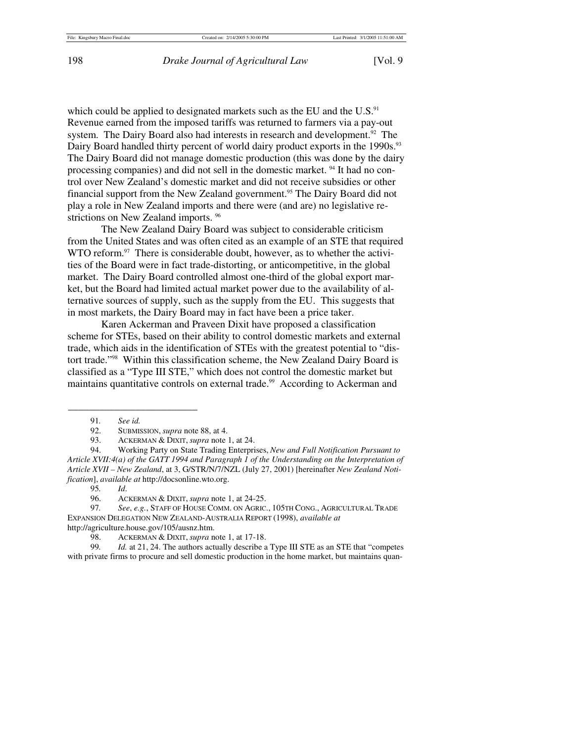which could be applied to designated markets such as the EU and the U.S.<sup>91</sup> Revenue earned from the imposed tariffs was returned to farmers via a pay-out system. The Dairy Board also had interests in research and development.<sup>92</sup> The Dairy Board handled thirty percent of world dairy product exports in the 1990s.<sup>93</sup> The Dairy Board did not manage domestic production (this was done by the dairy processing companies) and did not sell in the domestic market. 94 It had no control over New Zealand's domestic market and did not receive subsidies or other financial support from the New Zealand government.<sup>95</sup> The Dairy Board did not play a role in New Zealand imports and there were (and are) no legislative restrictions on New Zealand imports. <sup>96</sup>

The New Zealand Dairy Board was subject to considerable criticism from the United States and was often cited as an example of an STE that required WTO reform.<sup>97</sup> There is considerable doubt, however, as to whether the activities of the Board were in fact trade-distorting, or anticompetitive, in the global market. The Dairy Board controlled almost one-third of the global export market, but the Board had limited actual market power due to the availability of alternative sources of supply, such as the supply from the EU. This suggests that in most markets, the Dairy Board may in fact have been a price taker.

Karen Ackerman and Praveen Dixit have proposed a classification scheme for STEs, based on their ability to control domestic markets and external trade, which aids in the identification of STEs with the greatest potential to "distort trade."98 Within this classification scheme, the New Zealand Dairy Board is classified as a "Type III STE," which does not control the domestic market but maintains quantitative controls on external trade.<sup>99</sup> According to Ackerman and

\_\_\_\_\_\_\_\_\_\_\_\_\_\_\_\_\_\_\_\_\_\_\_\_\_

 94. Working Party on State Trading Enterprises, *New and Full Notification Pursuant to Article XVII:4(a) of the GATT 1994 and Paragraph 1 of the Understanding on the Interpretation of Article XVII – New Zealand*, at 3, G/STR/N/7/NZL (July 27, 2001) [hereinafter *New Zealand Notification*], *available at* http://docsonline.wto.org.

95*. Id*.

 97*. See*, *e.g.*, STAFF OF HOUSE COMM. ON AGRIC., 105TH CONG., AGRICULTURAL TRADE EXPANSION DELEGATION NEW ZEALAND-AUSTRALIA REPORT (1998), *available at* http://agriculture.house.gov/105/ausnz.htm.

 99*. Id.* at 21, 24. The authors actually describe a Type III STE as an STE that "competes with private firms to procure and sell domestic production in the home market, but maintains quan-

 <sup>91</sup>*. See id.*

 <sup>92.</sup> SUBMISSION, *supra* note 88, at 4.

 <sup>93.</sup> ACKERMAN & DIXIT, *supra* note 1, at 24.

 <sup>96.</sup> ACKERMAN & DIXIT, *supra* note 1, at 24-25.

 <sup>98.</sup> ACKERMAN & DIXIT, *supra* note 1, at 17-18.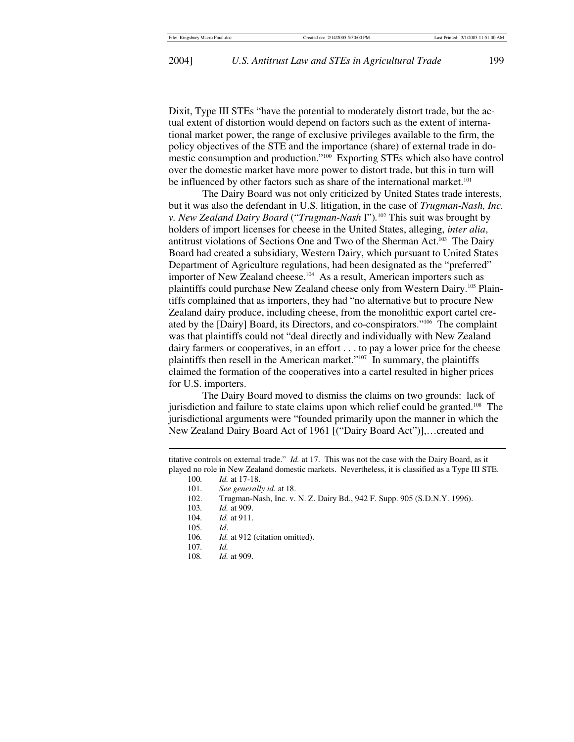Dixit, Type III STEs "have the potential to moderately distort trade, but the actual extent of distortion would depend on factors such as the extent of international market power, the range of exclusive privileges available to the firm, the policy objectives of the STE and the importance (share) of external trade in domestic consumption and production."100 Exporting STEs which also have control over the domestic market have more power to distort trade, but this in turn will be influenced by other factors such as share of the international market.<sup>101</sup>

The Dairy Board was not only criticized by United States trade interests, but it was also the defendant in U.S. litigation, in the case of *Trugman-Nash, Inc. v. New Zealand Dairy Board* ("*Trugman-Nash* I")*.* 102 This suit was brought by holders of import licenses for cheese in the United States, alleging, *inter alia*, antitrust violations of Sections One and Two of the Sherman Act.103 The Dairy Board had created a subsidiary, Western Dairy, which pursuant to United States Department of Agriculture regulations, had been designated as the "preferred" importer of New Zealand cheese.<sup>104</sup> As a result, American importers such as plaintiffs could purchase New Zealand cheese only from Western Dairy.105 Plaintiffs complained that as importers, they had "no alternative but to procure New Zealand dairy produce, including cheese, from the monolithic export cartel created by the [Dairy] Board, its Directors, and co-conspirators."106 The complaint was that plaintiffs could not "deal directly and individually with New Zealand dairy farmers or cooperatives, in an effort . . . to pay a lower price for the cheese plaintiffs then resell in the American market."<sup>107</sup> In summary, the plaintiffs claimed the formation of the cooperatives into a cartel resulted in higher prices for U.S. importers.

The Dairy Board moved to dismiss the claims on two grounds: lack of jurisdiction and failure to state claims upon which relief could be granted.<sup>108</sup> The jurisdictional arguments were "founded primarily upon the manner in which the New Zealand Dairy Board Act of 1961 [("Dairy Board Act")],…created and

titative controls on external trade." *Id.* at 17. This was not the case with the Dairy Board, as it played no role in New Zealand domestic markets. Nevertheless, it is classified as a Type III STE.

100. *Id.* at 17-18.

101*. See generally id*. at 18.

102. Trugman-Nash, Inc. v. N. Z. Dairy Bd., 942 F. Supp. 905 (S.D.N.Y. 1996).

103*. Id.* at 909.

104*. Id.* at 911.

105*. Id*.

 $\overline{a}$ 

- 106*. Id.* at 912 (citation omitted).
- 107*. Id.*
- 108*. Id.* at 909.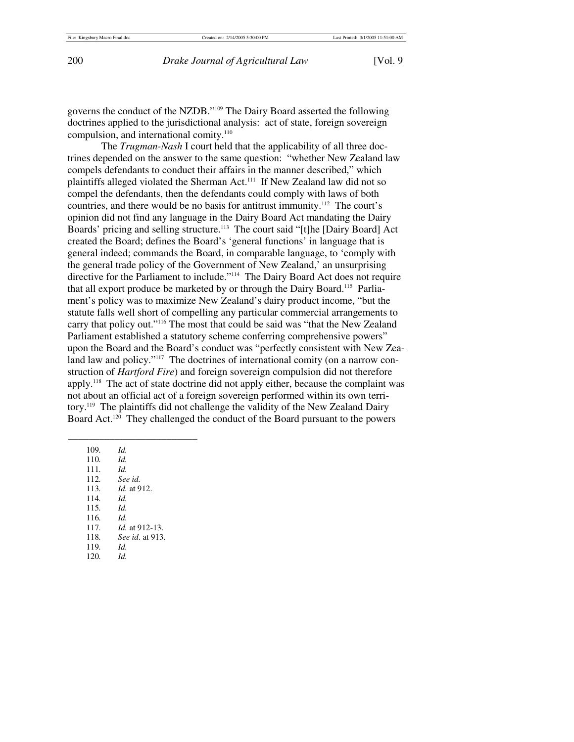governs the conduct of the NZDB."109 The Dairy Board asserted the following doctrines applied to the jurisdictional analysis: act of state, foreign sovereign compulsion, and international comity.<sup>110</sup>

The *Trugman-Nash* I court held that the applicability of all three doctrines depended on the answer to the same question: "whether New Zealand law compels defendants to conduct their affairs in the manner described," which plaintiffs alleged violated the Sherman Act.111 If New Zealand law did not so compel the defendants, then the defendants could comply with laws of both countries, and there would be no basis for antitrust immunity.112 The court's opinion did not find any language in the Dairy Board Act mandating the Dairy Boards' pricing and selling structure.<sup>113</sup> The court said "[t]he [Dairy Board] Act created the Board; defines the Board's 'general functions' in language that is general indeed; commands the Board, in comparable language, to 'comply with the general trade policy of the Government of New Zealand,' an unsurprising directive for the Parliament to include."<sup>114</sup> The Dairy Board Act does not require that all export produce be marketed by or through the Dairy Board.<sup>115</sup> Parliament's policy was to maximize New Zealand's dairy product income, "but the statute falls well short of compelling any particular commercial arrangements to carry that policy out."116 The most that could be said was "that the New Zealand Parliament established a statutory scheme conferring comprehensive powers" upon the Board and the Board's conduct was "perfectly consistent with New Zealand law and policy."<sup>117</sup> The doctrines of international comity (on a narrow construction of *Hartford Fire*) and foreign sovereign compulsion did not therefore apply.118 The act of state doctrine did not apply either, because the complaint was not about an official act of a foreign sovereign performed within its own territory.119 The plaintiffs did not challenge the validity of the New Zealand Dairy Board Act.120 They challenged the conduct of the Board pursuant to the powers

 109*. Id.*  110*. Id.* 111*. Id.* 112*. See id.* 113*. Id.* at 912. 114*. Id.* 115*. Id.*  116*. Id.* 117*. Id.* at 912-13. 118*. See id*. at 913. 119*. Id.* 120*. Id.*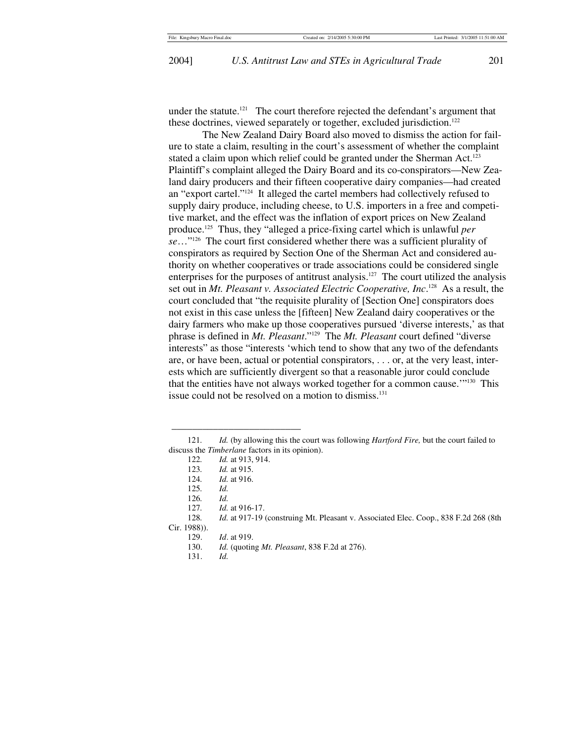2004] *U.S. Antitrust Law and STEs in Agricultural Trade* 201

under the statute.<sup>121</sup> The court therefore rejected the defendant's argument that these doctrines, viewed separately or together, excluded jurisdiction.<sup>122</sup>

The New Zealand Dairy Board also moved to dismiss the action for failure to state a claim, resulting in the court's assessment of whether the complaint stated a claim upon which relief could be granted under the Sherman Act.<sup>123</sup> Plaintiff's complaint alleged the Dairy Board and its co-conspirators—New Zealand dairy producers and their fifteen cooperative dairy companies—had created an "export cartel."124 It alleged the cartel members had collectively refused to supply dairy produce, including cheese, to U.S. importers in a free and competitive market, and the effect was the inflation of export prices on New Zealand produce.125 Thus, they "alleged a price-fixing cartel which is unlawful *per se*…"126 The court first considered whether there was a sufficient plurality of conspirators as required by Section One of the Sherman Act and considered authority on whether cooperatives or trade associations could be considered single enterprises for the purposes of antitrust analysis.<sup>127</sup> The court utilized the analysis set out in *Mt. Pleasant v. Associated Electric Cooperative, Inc*. 128 As a result, the court concluded that "the requisite plurality of [Section One] conspirators does not exist in this case unless the [fifteen] New Zealand dairy cooperatives or the dairy farmers who make up those cooperatives pursued 'diverse interests,' as that phrase is defined in *Mt. Pleasant*."129 The *Mt. Pleasant* court defined "diverse interests" as those "interests 'which tend to show that any two of the defendants are, or have been, actual or potential conspirators, . . . or, at the very least, interests which are sufficiently divergent so that a reasonable juror could conclude that the entities have not always worked together for a common cause.'"<sup>130</sup> This issue could not be resolved on a motion to dismiss.<sup>131</sup>

 <sup>121</sup>*. Id.* (by allowing this the court was following *Hartford Fire,* but the court failed to discuss the *Timberlane* factors in its opinion).

 <sup>122</sup>*. Id.* at 913, 914.

 <sup>123</sup>*. Id.* at 915.

 <sup>124</sup>*. Id.* at 916.

 <sup>125</sup>*. Id.*

 <sup>126</sup>*. Id.*

 <sup>127</sup>*. Id.* at 916-17.

 <sup>128</sup>*. Id.* at 917-19 (construing Mt. Pleasant v. Associated Elec. Coop., 838 F.2d 268 (8th Cir. 1988)).

 <sup>129.</sup> *Id*. at 919.

 <sup>130.</sup> *Id.* (quoting *Mt. Pleasant*, 838 F.2d at 276).

 <sup>131.</sup> *Id.*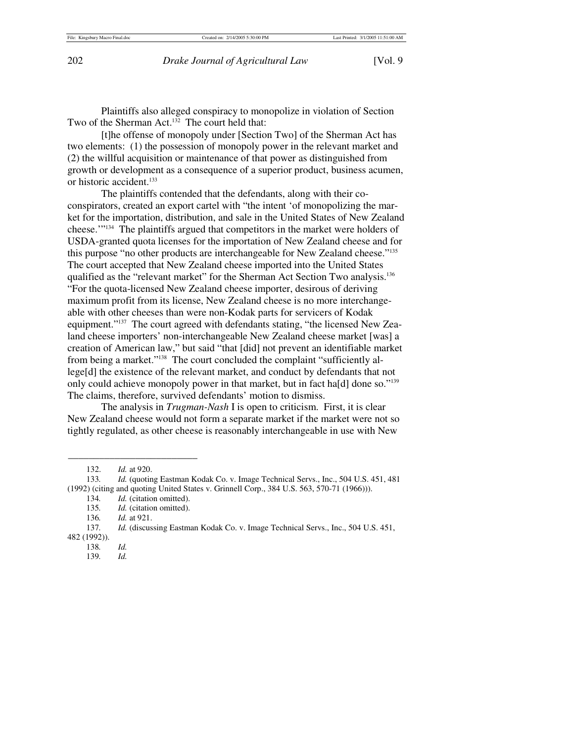Plaintiffs also alleged conspiracy to monopolize in violation of Section Two of the Sherman Act.<sup>132</sup> The court held that:

[t]he offense of monopoly under [Section Two] of the Sherman Act has two elements: (1) the possession of monopoly power in the relevant market and (2) the willful acquisition or maintenance of that power as distinguished from growth or development as a consequence of a superior product, business acumen, or historic accident.<sup>133</sup>

The plaintiffs contended that the defendants, along with their coconspirators, created an export cartel with "the intent 'of monopolizing the market for the importation, distribution, and sale in the United States of New Zealand cheese.'"134 The plaintiffs argued that competitors in the market were holders of USDA-granted quota licenses for the importation of New Zealand cheese and for this purpose "no other products are interchangeable for New Zealand cheese."135 The court accepted that New Zealand cheese imported into the United States qualified as the "relevant market" for the Sherman Act Section Two analysis.136 "For the quota-licensed New Zealand cheese importer, desirous of deriving maximum profit from its license, New Zealand cheese is no more interchangeable with other cheeses than were non-Kodak parts for servicers of Kodak equipment."<sup>137</sup> The court agreed with defendants stating, "the licensed New Zealand cheese importers' non-interchangeable New Zealand cheese market [was] a creation of American law," but said "that [did] not prevent an identifiable market from being a market."<sup>138</sup> The court concluded the complaint "sufficiently allege[d] the existence of the relevant market, and conduct by defendants that not only could achieve monopoly power in that market, but in fact ha[d] done so."139 The claims, therefore, survived defendants' motion to dismiss.

The analysis in *Trugman-Nash* I is open to criticism. First, it is clear New Zealand cheese would not form a separate market if the market were not so tightly regulated, as other cheese is reasonably interchangeable in use with New

135*. Id.* (citation omitted).

 <sup>132.</sup> *Id.* at 920.

 <sup>133</sup>*. Id.* (quoting Eastman Kodak Co. v. Image Technical Servs., Inc., 504 U.S. 451, 481 (1992) (citing and quoting United States v. Grinnell Corp., 384 U.S. 563, 570-71 (1966))).

 <sup>134</sup>*. Id.* (citation omitted).

 <sup>136</sup>*. Id.* at 921.

 <sup>137</sup>*. Id.* (discussing Eastman Kodak Co. v. Image Technical Servs., Inc., 504 U.S. 451, 482 (1992)).

 <sup>138</sup>*. Id.*

 <sup>139</sup>*. Id.*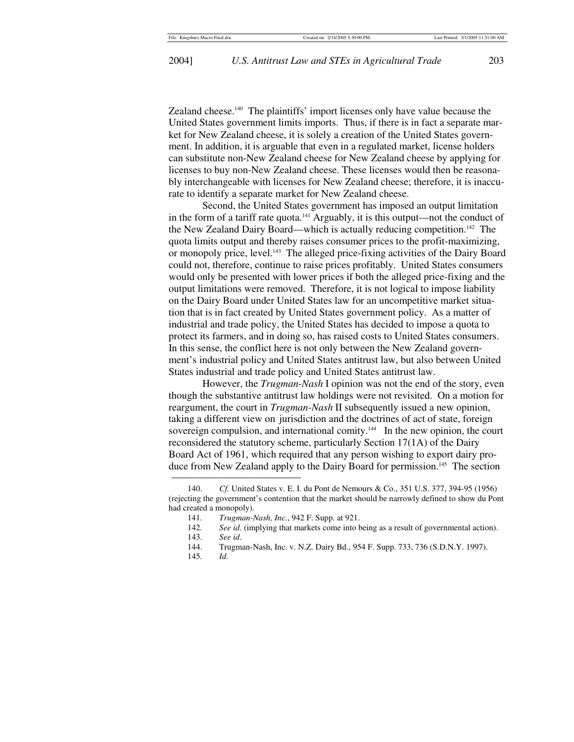Zealand cheese.140 The plaintiffs' import licenses only have value because the United States government limits imports. Thus, if there is in fact a separate market for New Zealand cheese, it is solely a creation of the United States government. In addition, it is arguable that even in a regulated market, license holders can substitute non-New Zealand cheese for New Zealand cheese by applying for licenses to buy non-New Zealand cheese. These licenses would then be reasonably interchangeable with licenses for New Zealand cheese; therefore, it is inaccurate to identify a separate market for New Zealand cheese.

Second, the United States government has imposed an output limitation in the form of a tariff rate quota.<sup>141</sup> Arguably, it is this output—not the conduct of the New Zealand Dairy Board—which is actually reducing competition.142 The quota limits output and thereby raises consumer prices to the profit-maximizing, or monopoly price, level.143 The alleged price-fixing activities of the Dairy Board could not, therefore, continue to raise prices profitably. United States consumers would only be presented with lower prices if both the alleged price-fixing and the output limitations were removed. Therefore, it is not logical to impose liability on the Dairy Board under United States law for an uncompetitive market situation that is in fact created by United States government policy. As a matter of industrial and trade policy, the United States has decided to impose a quota to protect its farmers, and in doing so, has raised costs to United States consumers. In this sense, the conflict here is not only between the New Zealand government's industrial policy and United States antitrust law, but also between United States industrial and trade policy and United States antitrust law.

However, the *Trugman-Nash* I opinion was not the end of the story, even though the substantive antitrust law holdings were not revisited. On a motion for reargument, the court in *Trugman-Nash* II subsequently issued a new opinion, taking a different view on jurisdiction and the doctrines of act of state, foreign sovereign compulsion, and international comity.<sup>144</sup> In the new opinion, the court reconsidered the statutory scheme, particularly Section 17(1A) of the Dairy Board Act of 1961, which required that any person wishing to export dairy produce from New Zealand apply to the Dairy Board for permission.<sup>145</sup> The section

 <sup>140.</sup> *Cf.* United States v. E. I. du Pont de Nemours & Co., 351 U.S. 377, 394-95 (1956) (rejecting the government's contention that the market should be narrowly defined to show du Pont had created a monopoly).

<sup>141</sup>*. Trugman-Nash, Inc.*, 942 F. Supp. at 921.

<sup>142</sup>*. See id.* (implying that markets come into being as a result of governmental action).

<sup>143</sup>*. See id*.

 <sup>144.</sup> Trugman-Nash, Inc. v. N.Z. Dairy Bd., 954 F. Supp. 733, 736 (S.D.N.Y. 1997).

 <sup>145</sup>*. Id.*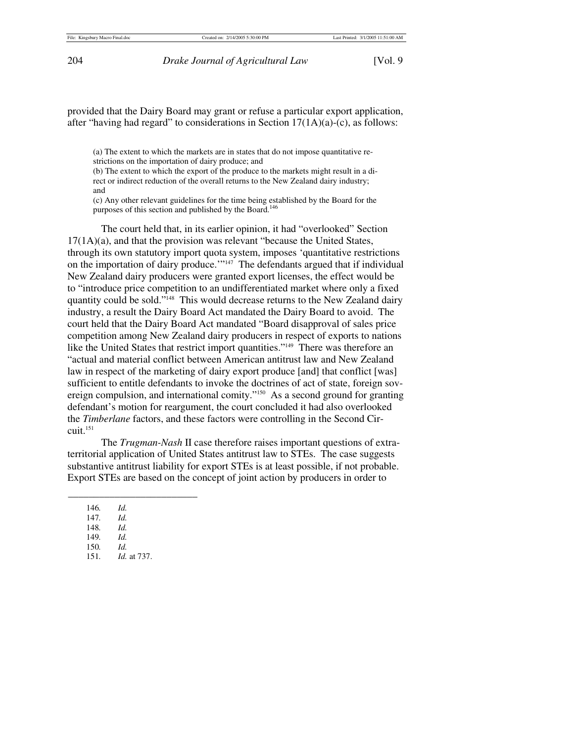provided that the Dairy Board may grant or refuse a particular export application, after "having had regard" to considerations in Section 17(1A)(a)-(c), as follows:

(a) The extent to which the markets are in states that do not impose quantitative restrictions on the importation of dairy produce; and

(b) The extent to which the export of the produce to the markets might result in a direct or indirect reduction of the overall returns to the New Zealand dairy industry; and

(c) Any other relevant guidelines for the time being established by the Board for the purposes of this section and published by the Board.<sup>146</sup>

The court held that, in its earlier opinion, it had "overlooked" Section 17(1A)(a), and that the provision was relevant "because the United States, through its own statutory import quota system, imposes 'quantitative restrictions on the importation of dairy produce.'"147 The defendants argued that if individual New Zealand dairy producers were granted export licenses, the effect would be to "introduce price competition to an undifferentiated market where only a fixed quantity could be sold."<sup>148</sup> This would decrease returns to the New Zealand dairy industry, a result the Dairy Board Act mandated the Dairy Board to avoid. The court held that the Dairy Board Act mandated "Board disapproval of sales price competition among New Zealand dairy producers in respect of exports to nations like the United States that restrict import quantities."<sup>149</sup> There was therefore an "actual and material conflict between American antitrust law and New Zealand law in respect of the marketing of dairy export produce [and] that conflict [was] sufficient to entitle defendants to invoke the doctrines of act of state, foreign sovereign compulsion, and international comity."150 As a second ground for granting defendant's motion for reargument, the court concluded it had also overlooked the *Timberlane* factors, and these factors were controlling in the Second Cir $cuit.<sup>151</sup>$ 

The *Trugman-Nash* II case therefore raises important questions of extraterritorial application of United States antitrust law to STEs. The case suggests substantive antitrust liability for export STEs is at least possible, if not probable. Export STEs are based on the concept of joint action by producers in order to

146*. Id.*

- 147*. Id.*
- 148*. Id.*
- 149*. Id.*
- 150*. Id.*
- *Id.* at 737.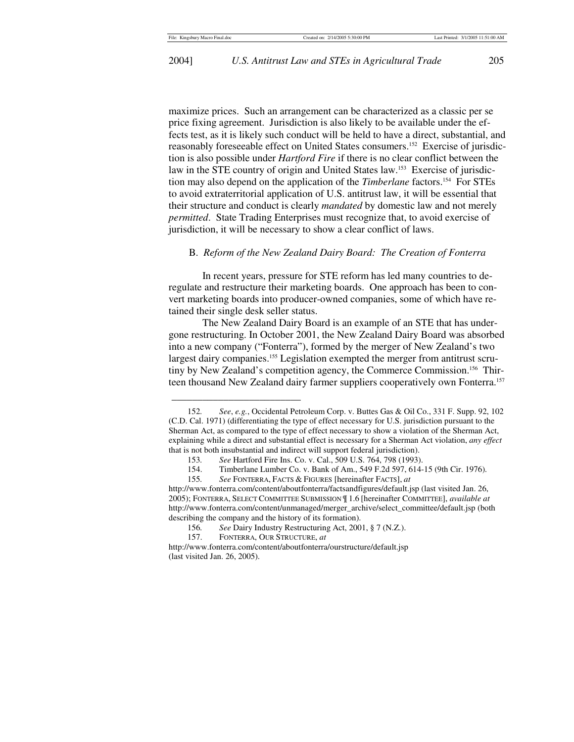maximize prices. Such an arrangement can be characterized as a classic per se price fixing agreement. Jurisdiction is also likely to be available under the effects test, as it is likely such conduct will be held to have a direct, substantial, and reasonably foreseeable effect on United States consumers.152 Exercise of jurisdiction is also possible under *Hartford Fire* if there is no clear conflict between the law in the STE country of origin and United States law.<sup>153</sup> Exercise of jurisdiction may also depend on the application of the *Timberlane* factors.154 For STEs to avoid extraterritorial application of U.S. antitrust law, it will be essential that their structure and conduct is clearly *mandated* by domestic law and not merely *permitted*. State Trading Enterprises must recognize that, to avoid exercise of jurisdiction, it will be necessary to show a clear conflict of laws.

## B. *Reform of the New Zealand Dairy Board: The Creation of Fonterra*

In recent years, pressure for STE reform has led many countries to deregulate and restructure their marketing boards. One approach has been to convert marketing boards into producer-owned companies, some of which have retained their single desk seller status.

The New Zealand Dairy Board is an example of an STE that has undergone restructuring. In October 2001, the New Zealand Dairy Board was absorbed into a new company ("Fonterra"), formed by the merger of New Zealand's two largest dairy companies.<sup>155</sup> Legislation exempted the merger from antitrust scrutiny by New Zealand's competition agency, the Commerce Commission.<sup>156</sup> Thirteen thousand New Zealand dairy farmer suppliers cooperatively own Fonterra.<sup>157</sup>

 <sup>152</sup>*. See*, *e.g.*, Occidental Petroleum Corp. v. Buttes Gas & Oil Co., 331 F. Supp. 92, 102 (C.D. Cal. 1971) (differentiating the type of effect necessary for U.S. jurisdiction pursuant to the Sherman Act, as compared to the type of effect necessary to show a violation of the Sherman Act, explaining while a direct and substantial effect is necessary for a Sherman Act violation, *any effect*  that is not both insubstantial and indirect will support federal jurisdiction).

<sup>153</sup>*. See* Hartford Fire Ins. Co. v. Cal., 509 U.S. 764, 798 (1993).

 <sup>154.</sup> Timberlane Lumber Co. v. Bank of Am., 549 F.2d 597, 614-15 (9th Cir. 1976).

<sup>155</sup>*. See* FONTERRA, FACTS & FIGURES [hereinafter FACTS], *at*

http://www.fonterra.com/content/aboutfonterra/factsandfigures/default.jsp (last visited Jan. 26, 2005); FONTERRA, SELECT COMMITTEE SUBMISSION ¶ 1.6 [hereinafter COMMITTEE], *available at* http://www.fonterra.com/content/unmanaged/merger\_archive/select\_committee/default.jsp (both describing the company and the history of its formation).

 <sup>156</sup>*. See* Dairy Industry Restructuring Act, 2001, § 7 (N.Z.).

 <sup>157.</sup> FONTERRA, OUR STRUCTURE, *at*

http://www.fonterra.com/content/aboutfonterra/ourstructure/default.jsp (last visited Jan. 26, 2005).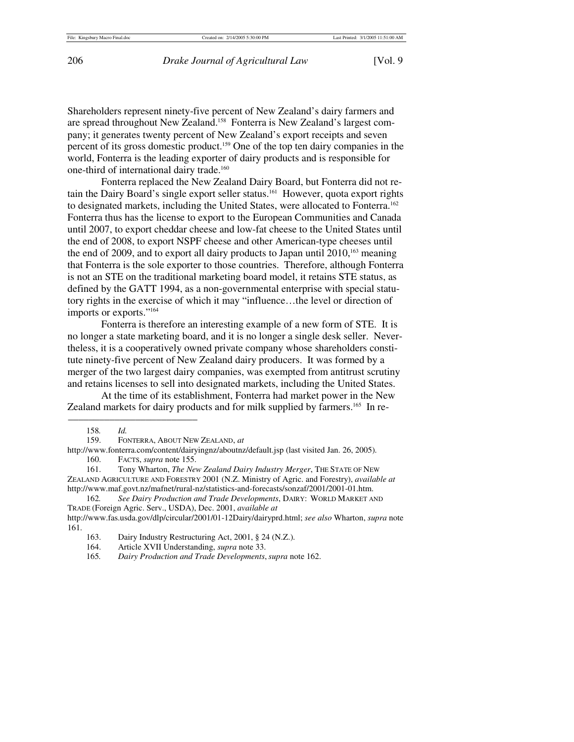Shareholders represent ninety-five percent of New Zealand's dairy farmers and are spread throughout New Zealand.<sup>158</sup> Fonterra is New Zealand's largest company; it generates twenty percent of New Zealand's export receipts and seven percent of its gross domestic product.159 One of the top ten dairy companies in the world, Fonterra is the leading exporter of dairy products and is responsible for one-third of international dairy trade.160

Fonterra replaced the New Zealand Dairy Board, but Fonterra did not retain the Dairy Board's single export seller status.<sup>161</sup> However, quota export rights to designated markets, including the United States, were allocated to Fonterra.<sup>162</sup> Fonterra thus has the license to export to the European Communities and Canada until 2007, to export cheddar cheese and low-fat cheese to the United States until the end of 2008, to export NSPF cheese and other American-type cheeses until the end of 2009, and to export all dairy products to Japan until  $2010$ ,<sup>163</sup> meaning that Fonterra is the sole exporter to those countries. Therefore, although Fonterra is not an STE on the traditional marketing board model, it retains STE status, as defined by the GATT 1994, as a non-governmental enterprise with special statutory rights in the exercise of which it may "influence…the level or direction of imports or exports."164

Fonterra is therefore an interesting example of a new form of STE. It is no longer a state marketing board, and it is no longer a single desk seller. Nevertheless, it is a cooperatively owned private company whose shareholders constitute ninety-five percent of New Zealand dairy producers. It was formed by a merger of the two largest dairy companies, was exempted from antitrust scrutiny and retains licenses to sell into designated markets, including the United States.

At the time of its establishment, Fonterra had market power in the New Zealand markets for dairy products and for milk supplied by farmers.<sup>165</sup> In re-

 <sup>158</sup>*. Id.*

 <sup>159.</sup> FONTERRA, ABOUT NEW ZEALAND, *at*

http://www.fonterra.com/content/dairyingnz/aboutnz/default.jsp (last visited Jan. 26, 2005). 160. FACTS, *supra* note 155.

 <sup>161.</sup> Tony Wharton, *The New Zealand Dairy Industry Merger*, THE STATE OF NEW ZEALAND AGRICULTURE AND FORESTRY 2001 (N.Z. Ministry of Agric. and Forestry), *available at*  http://www.maf.govt.nz/mafnet/rural-nz/statistics-and-forecasts/sonzaf/2001/2001-01.htm.

 <sup>162</sup>*. See Dairy Production and Trade Developments*, DAIRY: WORLD MARKET AND TRADE (Foreign Agric. Serv., USDA), Dec. 2001, *available at* 

http://www.fas.usda.gov/dlp/circular/2001/01-12Dairy/dairyprd.html; *see also* Wharton, *supra* note 161.

<sup>163.</sup> Dairy Industry Restructuring Act, 2001, § 24 (N.Z.).<br>164. Article XVII Understanding, *supra* note 33.

 <sup>164.</sup> Article XVII Understanding, *supra* note 33.

<sup>165</sup>*. Dairy Production and Trade Developments*,*supra* note 162.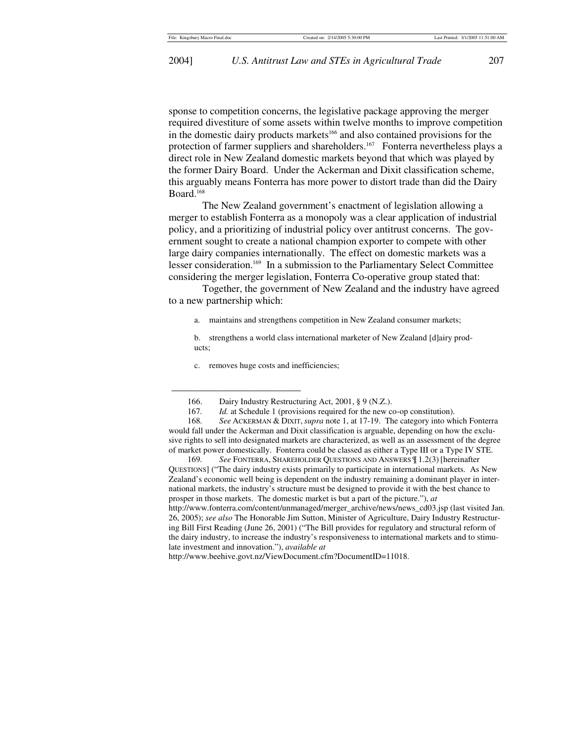sponse to competition concerns, the legislative package approving the merger required divestiture of some assets within twelve months to improve competition in the domestic dairy products markets<sup>166</sup> and also contained provisions for the protection of farmer suppliers and shareholders.<sup>167</sup> Fonterra nevertheless plays a direct role in New Zealand domestic markets beyond that which was played by the former Dairy Board. Under the Ackerman and Dixit classification scheme, this arguably means Fonterra has more power to distort trade than did the Dairy Board.168

The New Zealand government's enactment of legislation allowing a merger to establish Fonterra as a monopoly was a clear application of industrial policy, and a prioritizing of industrial policy over antitrust concerns. The government sought to create a national champion exporter to compete with other large dairy companies internationally. The effect on domestic markets was a lesser consideration.<sup>169</sup> In a submission to the Parliamentary Select Committee considering the merger legislation, Fonterra Co-operative group stated that:

Together, the government of New Zealand and the industry have agreed to a new partnership which:

- a. maintains and strengthens competition in New Zealand consumer markets;
- b. strengthens a world class international marketer of New Zealand [d]airy products;
- c. removes huge costs and inefficiencies;

<sup>166.</sup> Dairy Industry Restructuring Act, 2001, § 9 (N.Z.).<br>167. Id. at Schedule 1 (provisions required for the new c

*Id.* at Schedule 1 (provisions required for the new co-op constitution).

 <sup>168</sup>*. See* ACKERMAN & DIXIT, *supra* note 1, at 17-19. The category into which Fonterra would fall under the Ackerman and Dixit classification is arguable, depending on how the exclusive rights to sell into designated markets are characterized, as well as an assessment of the degree of market power domestically. Fonterra could be classed as either a Type III or a Type IV STE.

 <sup>169</sup>*. See* FONTERRA, SHAREHOLDER QUESTIONS AND ANSWERS ¶ 1.2(3) [hereinafter QUESTIONS] ("The dairy industry exists primarily to participate in international markets. As New Zealand's economic well being is dependent on the industry remaining a dominant player in international markets, the industry's structure must be designed to provide it with the best chance to prosper in those markets. The domestic market is but a part of the picture."), *at* http://www.fonterra.com/content/unmanaged/merger\_archive/news/news\_cd03.jsp (last visited Jan. 26, 2005); *see also* The Honorable Jim Sutton, Minister of Agriculture, Dairy Industry Restructuring Bill First Reading (June 26, 2001) ("The Bill provides for regulatory and structural reform of the dairy industry, to increase the industry's responsiveness to international markets and to stimulate investment and innovation."), *available at* 

http://www.beehive.govt.nz/ViewDocument.cfm?DocumentID=11018.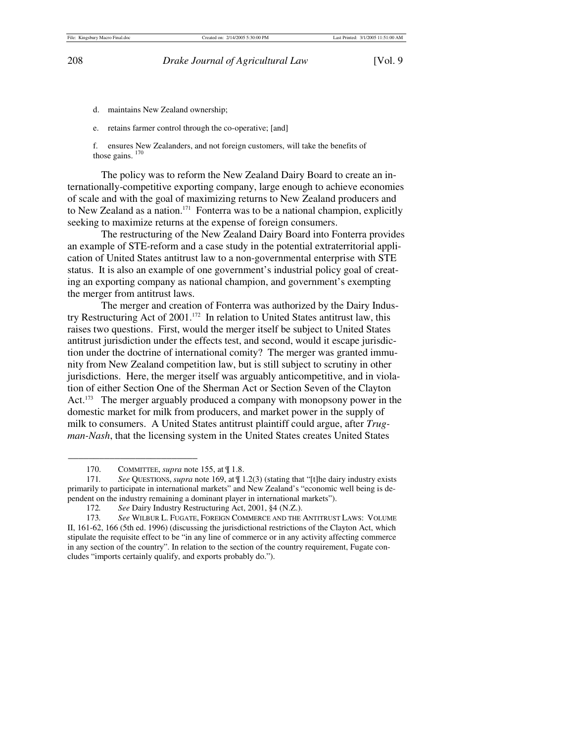- d. maintains New Zealand ownership;
- e. retains farmer control through the co-operative; [and]

f. ensures New Zealanders, and not foreign customers, will take the benefits of those gains.  $170$ 

The policy was to reform the New Zealand Dairy Board to create an internationally-competitive exporting company, large enough to achieve economies of scale and with the goal of maximizing returns to New Zealand producers and to New Zealand as a nation.<sup>171</sup> Fonterra was to be a national champion, explicitly seeking to maximize returns at the expense of foreign consumers.

The restructuring of the New Zealand Dairy Board into Fonterra provides an example of STE-reform and a case study in the potential extraterritorial application of United States antitrust law to a non-governmental enterprise with STE status. It is also an example of one government's industrial policy goal of creating an exporting company as national champion, and government's exempting the merger from antitrust laws.

The merger and creation of Fonterra was authorized by the Dairy Industry Restructuring Act of 2001.172 In relation to United States antitrust law, this raises two questions. First, would the merger itself be subject to United States antitrust jurisdiction under the effects test, and second, would it escape jurisdiction under the doctrine of international comity? The merger was granted immunity from New Zealand competition law, but is still subject to scrutiny in other jurisdictions. Here, the merger itself was arguably anticompetitive, and in violation of either Section One of the Sherman Act or Section Seven of the Clayton Act.<sup>173</sup> The merger arguably produced a company with monopsony power in the domestic market for milk from producers, and market power in the supply of milk to consumers. A United States antitrust plaintiff could argue, after *Trugman-Nash*, that the licensing system in the United States creates United States

 <sup>170.</sup> COMMITTEE, *supra* note 155, at ¶ 1.8.

 <sup>171</sup>*. See* QUESTIONS, *supra* note 169, at ¶ 1.2(3) (stating that "[t]he dairy industry exists primarily to participate in international markets" and New Zealand's "economic well being is dependent on the industry remaining a dominant player in international markets").

<sup>172</sup>*. See* Dairy Industry Restructuring Act, 2001, §4 (N.Z.).

 <sup>173</sup>*. See* WILBUR L. FUGATE, FOREIGN COMMERCE AND THE ANTITRUST LAWS: VOLUME II, 161-62, 166 (5th ed. 1996) (discussing the jurisdictional restrictions of the Clayton Act, which stipulate the requisite effect to be "in any line of commerce or in any activity affecting commerce in any section of the country". In relation to the section of the country requirement, Fugate concludes "imports certainly qualify, and exports probably do.").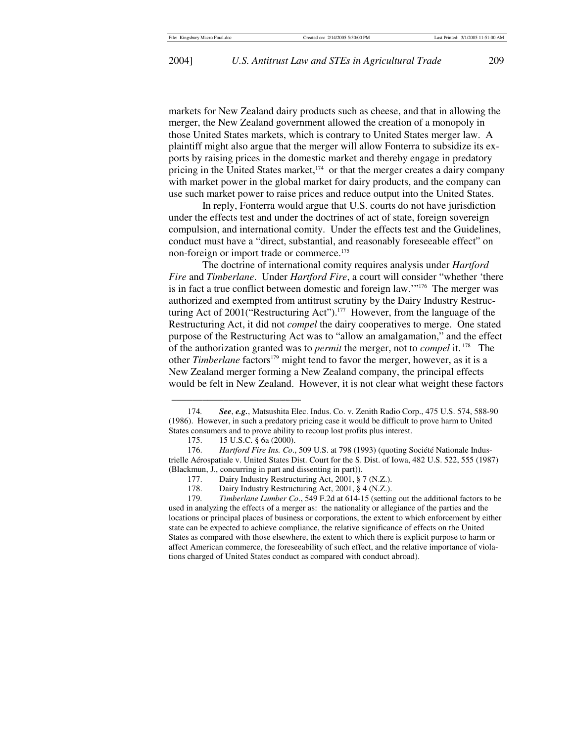markets for New Zealand dairy products such as cheese, and that in allowing the merger, the New Zealand government allowed the creation of a monopoly in those United States markets, which is contrary to United States merger law. A plaintiff might also argue that the merger will allow Fonterra to subsidize its exports by raising prices in the domestic market and thereby engage in predatory pricing in the United States market, $174$  or that the merger creates a dairy company with market power in the global market for dairy products, and the company can use such market power to raise prices and reduce output into the United States.

In reply, Fonterra would argue that U.S. courts do not have jurisdiction under the effects test and under the doctrines of act of state, foreign sovereign compulsion, and international comity. Under the effects test and the Guidelines, conduct must have a "direct, substantial, and reasonably foreseeable effect" on non-foreign or import trade or commerce.<sup>175</sup>

The doctrine of international comity requires analysis under *Hartford Fire* and *Timberlane*. Under *Hartford Fire*, a court will consider "whether 'there is in fact a true conflict between domestic and foreign law.'"176 The merger was authorized and exempted from antitrust scrutiny by the Dairy Industry Restructuring Act of 2001("Restructuring Act").177 However, from the language of the Restructuring Act, it did not *compel* the dairy cooperatives to merge. One stated purpose of the Restructuring Act was to "allow an amalgamation," and the effect of the authorization granted was to *permit* the merger, not to *compel* it. 178 The other *Timberlane* factors<sup>179</sup> might tend to favor the merger, however, as it is a New Zealand merger forming a New Zealand company, the principal effects would be felt in New Zealand. However, it is not clear what weight these factors

\_\_\_\_\_\_\_\_\_\_\_\_\_\_\_\_\_\_\_\_\_\_\_\_\_

 179*. Timberlane Lumber Co*., 549 F.2d at 614-15 (setting out the additional factors to be used in analyzing the effects of a merger as: the nationality or allegiance of the parties and the locations or principal places of business or corporations, the extent to which enforcement by either state can be expected to achieve compliance, the relative significance of effects on the United States as compared with those elsewhere, the extent to which there is explicit purpose to harm or affect American commerce, the foreseeability of such effect, and the relative importance of violations charged of United States conduct as compared with conduct abroad).

<sup>174</sup>*. See*, *e.g.*, Matsushita Elec. Indus. Co. v. Zenith Radio Corp., 475 U.S. 574, 588-90 (1986). However, in such a predatory pricing case it would be difficult to prove harm to United States consumers and to prove ability to recoup lost profits plus interest.

 <sup>175. 15</sup> U.S.C. § 6a (2000).

 <sup>176.</sup> *Hartford Fire Ins. Co*., 509 U.S. at 798 (1993) (quoting Société Nationale Industrielle Aérospatiale v. United States Dist. Court for the S. Dist. of Iowa, 482 U.S. 522, 555 (1987) (Blackmun, J., concurring in part and dissenting in part)).

 <sup>177.</sup> Dairy Industry Restructuring Act, 2001, § 7 (N.Z.).

 <sup>178.</sup> Dairy Industry Restructuring Act, 2001, § 4 (N.Z.).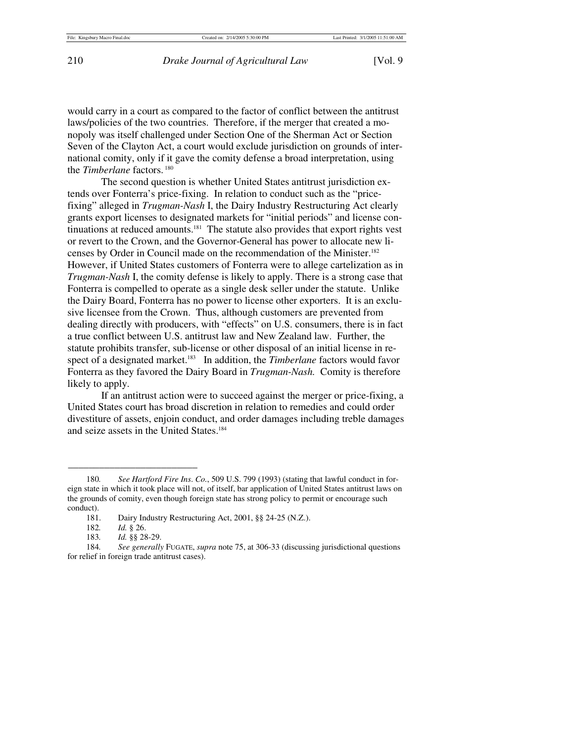would carry in a court as compared to the factor of conflict between the antitrust laws/policies of the two countries. Therefore, if the merger that created a monopoly was itself challenged under Section One of the Sherman Act or Section Seven of the Clayton Act, a court would exclude jurisdiction on grounds of international comity, only if it gave the comity defense a broad interpretation, using the *Timberlane* factors.<sup>180</sup>

The second question is whether United States antitrust jurisdiction extends over Fonterra's price-fixing. In relation to conduct such as the "pricefixing" alleged in *Trugman-Nash* I, the Dairy Industry Restructuring Act clearly grants export licenses to designated markets for "initial periods" and license continuations at reduced amounts.<sup>181</sup> The statute also provides that export rights vest or revert to the Crown, and the Governor-General has power to allocate new licenses by Order in Council made on the recommendation of the Minister.182 However, if United States customers of Fonterra were to allege cartelization as in *Trugman-Nash* I, the comity defense is likely to apply. There is a strong case that Fonterra is compelled to operate as a single desk seller under the statute. Unlike the Dairy Board, Fonterra has no power to license other exporters. It is an exclusive licensee from the Crown. Thus, although customers are prevented from dealing directly with producers, with "effects" on U.S. consumers, there is in fact a true conflict between U.S. antitrust law and New Zealand law. Further, the statute prohibits transfer, sub-license or other disposal of an initial license in respect of a designated market.<sup>183</sup> In addition, the *Timberlane* factors would favor Fonterra as they favored the Dairy Board in *Trugman-Nash.* Comity is therefore likely to apply.

If an antitrust action were to succeed against the merger or price-fixing, a United States court has broad discretion in relation to remedies and could order divestiture of assets, enjoin conduct, and order damages including treble damages and seize assets in the United States.184

 <sup>180</sup>*. See Hartford Fire Ins*. *Co.*, 509 U.S. 799 (1993) (stating that lawful conduct in foreign state in which it took place will not, of itself, bar application of United States antitrust laws on the grounds of comity, even though foreign state has strong policy to permit or encourage such conduct).

 <sup>181.</sup> Dairy Industry Restructuring Act, 2001, §§ 24-25 (N.Z.).

 <sup>182</sup>*. Id.* § 26.

 <sup>183</sup>*. Id.* §§ 28-29.

 <sup>184</sup>*. See generally* FUGATE, *supra* note 75, at 306-33 (discussing jurisdictional questions for relief in foreign trade antitrust cases).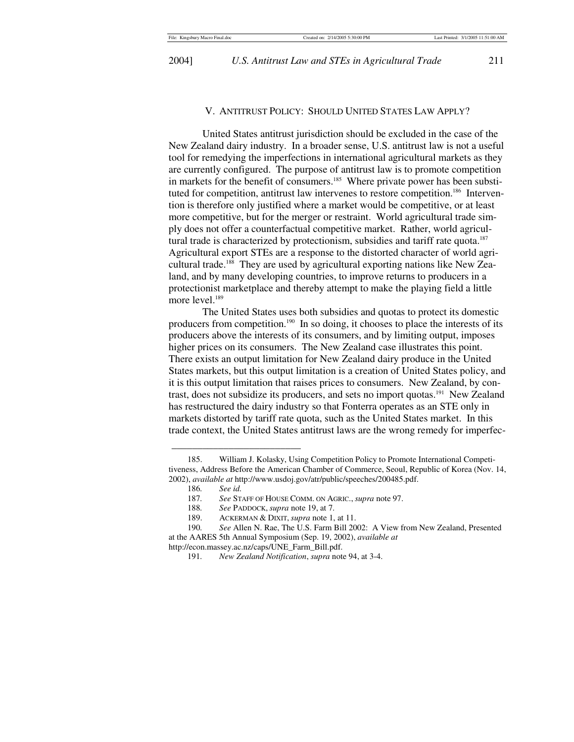2004] *U.S. Antitrust Law and STEs in Agricultural Trade* 211

#### V. ANTITRUST POLICY: SHOULD UNITED STATES LAW APPLY?

United States antitrust jurisdiction should be excluded in the case of the New Zealand dairy industry. In a broader sense, U.S. antitrust law is not a useful tool for remedying the imperfections in international agricultural markets as they are currently configured. The purpose of antitrust law is to promote competition in markets for the benefit of consumers.<sup>185</sup> Where private power has been substituted for competition, antitrust law intervenes to restore competition.<sup>186</sup> Intervention is therefore only justified where a market would be competitive, or at least more competitive, but for the merger or restraint. World agricultural trade simply does not offer a counterfactual competitive market. Rather, world agricultural trade is characterized by protectionism, subsidies and tariff rate quota.<sup>187</sup> Agricultural export STEs are a response to the distorted character of world agricultural trade.188 They are used by agricultural exporting nations like New Zealand, and by many developing countries, to improve returns to producers in a protectionist marketplace and thereby attempt to make the playing field a little more level.<sup>189</sup>

The United States uses both subsidies and quotas to protect its domestic producers from competition.<sup>190</sup> In so doing, it chooses to place the interests of its producers above the interests of its consumers, and by limiting output, imposes higher prices on its consumers. The New Zealand case illustrates this point. There exists an output limitation for New Zealand dairy produce in the United States markets, but this output limitation is a creation of United States policy, and it is this output limitation that raises prices to consumers. New Zealand, by contrast, does not subsidize its producers, and sets no import quotas.191 New Zealand has restructured the dairy industry so that Fonterra operates as an STE only in markets distorted by tariff rate quota, such as the United States market. In this trade context, the United States antitrust laws are the wrong remedy for imperfec-

 <sup>185.</sup> William J. Kolasky, Using Competition Policy to Promote International Competitiveness, Address Before the American Chamber of Commerce, Seoul, Republic of Korea (Nov. 14, 2002), *available at* http://www.usdoj.gov/atr/public/speeches/200485.pdf.

<sup>186</sup>*. See id.*

 <sup>187</sup>*. See* STAFF OF HOUSE COMM. ON AGRIC., *supra* note 97.

See PADDOCK, *supra* note 19, at 7.

 <sup>189.</sup> ACKERMAN & DIXIT, *supra* note 1, at 11.

 <sup>190</sup>*. See* Allen N. Rae, The U.S. Farm Bill 2002: A View from New Zealand, Presented at the AARES 5th Annual Symposium (Sep. 19, 2002), *available at* http://econ.massey.ac.nz/caps/UNE\_Farm\_Bill.pdf.

 <sup>191</sup>*. New Zealand Notification*, *supra* note 94, at 3-4.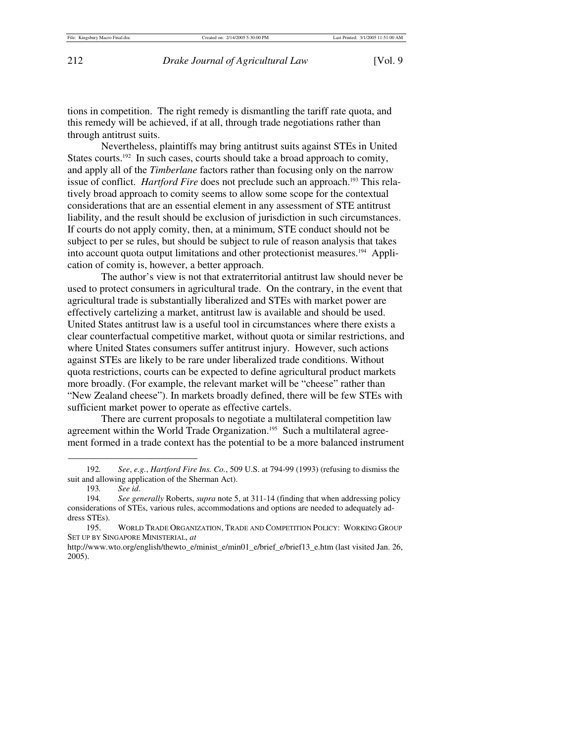tions in competition. The right remedy is dismantling the tariff rate quota, and this remedy will be achieved, if at all, through trade negotiations rather than through antitrust suits.

Nevertheless, plaintiffs may bring antitrust suits against STEs in United States courts.<sup>192</sup> In such cases, courts should take a broad approach to comity, and apply all of the *Timberlane* factors rather than focusing only on the narrow issue of conflict. *Hartford Fire* does not preclude such an approach.<sup>193</sup> This relatively broad approach to comity seems to allow some scope for the contextual considerations that are an essential element in any assessment of STE antitrust liability, and the result should be exclusion of jurisdiction in such circumstances. If courts do not apply comity, then, at a minimum, STE conduct should not be subject to per se rules, but should be subject to rule of reason analysis that takes into account quota output limitations and other protectionist measures.<sup>194</sup> Application of comity is, however, a better approach.

The author's view is not that extraterritorial antitrust law should never be used to protect consumers in agricultural trade. On the contrary, in the event that agricultural trade is substantially liberalized and STEs with market power are effectively cartelizing a market, antitrust law is available and should be used. United States antitrust law is a useful tool in circumstances where there exists a clear counterfactual competitive market, without quota or similar restrictions, and where United States consumers suffer antitrust injury. However, such actions against STEs are likely to be rare under liberalized trade conditions. Without quota restrictions, courts can be expected to define agricultural product markets more broadly. (For example, the relevant market will be "cheese" rather than "New Zealand cheese"). In markets broadly defined, there will be few STEs with sufficient market power to operate as effective cartels.

There are current proposals to negotiate a multilateral competition law agreement within the World Trade Organization.<sup>195</sup> Such a multilateral agreement formed in a trade context has the potential to be a more balanced instrument

 <sup>192</sup>*. See*, *e.g.*, *Hartford Fire Ins. Co.*, 509 U.S. at 794-99 (1993) (refusing to dismiss the suit and allowing application of the Sherman Act).

 <sup>193</sup>*. See id*.

 <sup>194</sup>*. See generally* Roberts, *supra* note 5, at 311-14 (finding that when addressing policy considerations of STEs, various rules, accommodations and options are needed to adequately address STEs).

 <sup>195.</sup> WORLD TRADE ORGANIZATION, TRADE AND COMPETITION POLICY: WORKING GROUP SET UP BY SINGAPORE MINISTERIAL, *at* 

http://www.wto.org/english/thewto\_e/minist\_e/min01\_e/brief\_e/brief13\_e.htm (last visited Jan. 26, 2005).